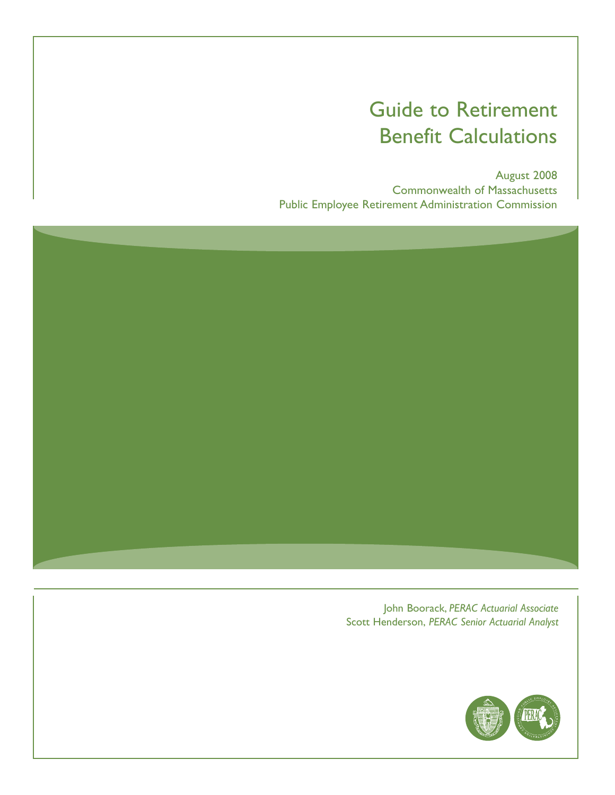# Guide to Retirement Benefit Calculations

August 2008 Commonwealth of Massachusetts Public Employee Retirement Administration Commission



John Boorack, *PERAC Actuarial Associate*  Scott Henderson, *PERAC Senior Actuarial Analyst* 

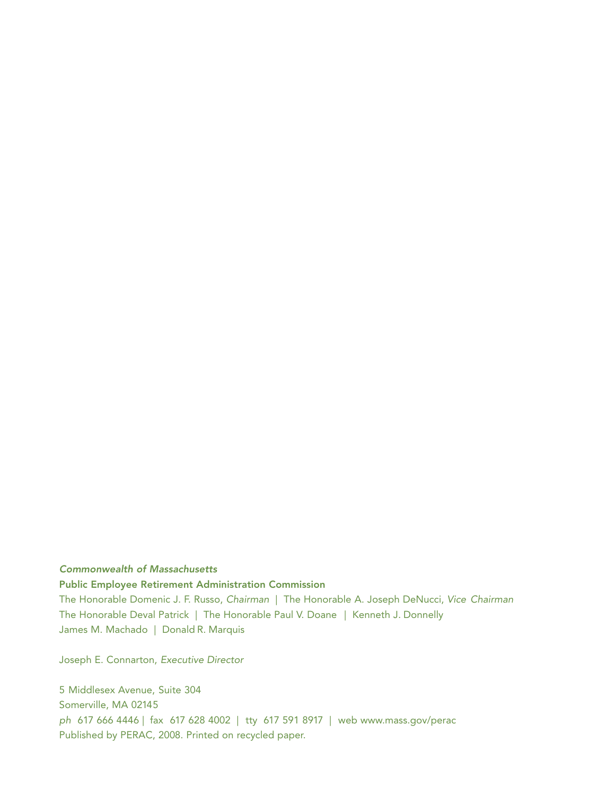#### *Commonwealth of Massachusetts*

**Public Employee Retirement Administration Commission** 

The Honorable Domenic J. F. Russo, Chairman | The Honorable A. Joseph DeNucci, Vice Chairman The Honorable Deval Patrick | The Honorable Paul V. Doane | Kenneth J. Donnelly James M. Machado | Donald R. Marquis

Joseph E. Connarton, Executive Director

5 Middlesex Avenue, Suite 304 Somerville, MA 02145 ph 617 666 4446 | fax 617 628 4002 | tty 617 591 8917 | web www.mass.gov/perac Published by PERAC, 2008. Printed on recycled paper.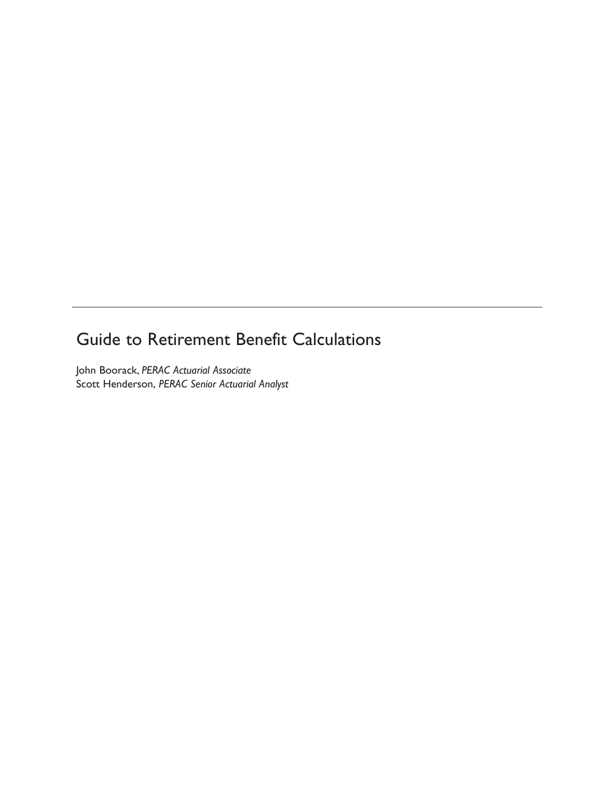### Guide to Retirement Benefit Calculations

John Boorack, *PERAC Actuarial Associate*  Scott Henderson, *PERAC Senior Actuarial Analyst*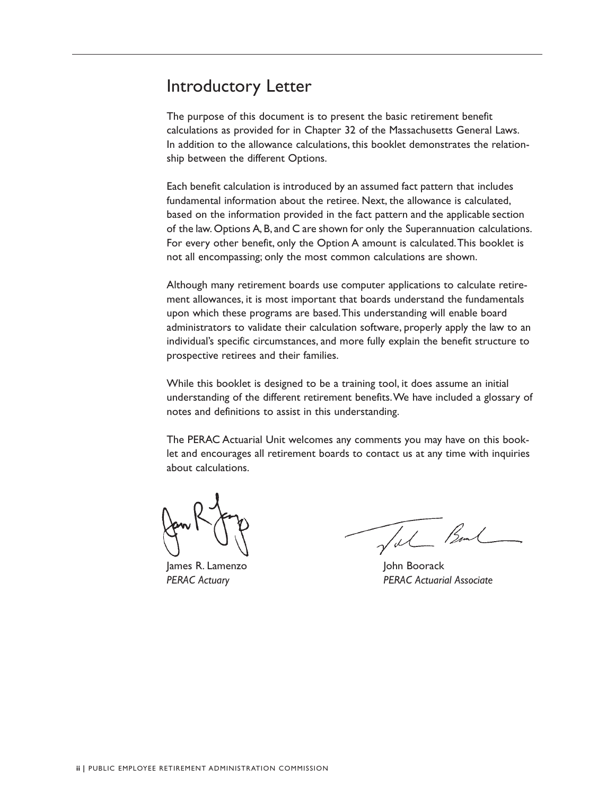### Introductory Letter

The purpose of this document is to present the basic retirement benefit calculations as provided for in Chapter 32 of the Massachusetts General Laws. In addition to the allowance calculations, this booklet demonstrates the relationship between the different Options.

 of the law. Options A, B, and C are shown for only the Superannuation calculations. Each benefit calculation is introduced by an assumed fact pattern that includes fundamental information about the retiree. Next, the allowance is calculated, based on the information provided in the fact pattern and the applicable section For every other benefit, only the Option A amount is calculated.This booklet is not all encompassing; only the most common calculations are shown.

Although many retirement boards use computer applications to calculate retirement allowances, it is most important that boards understand the fundamentals upon which these programs are based.This understanding will enable board administrators to validate their calculation software, properly apply the law to an individual's specific circumstances, and more fully explain the benefit structure to prospective retirees and their families.

While this booklet is designed to be a training tool, it does assume an initial understanding of the different retirement benefits.We have included a glossary of notes and definitions to assist in this understanding.

The PERAC Actuarial Unit welcomes any comments you may have on this booklet and encourages all retirement boards to contact us at any time with inquiries about calculations.

James R. Lamenzo John Boorack

Tal Band

*PERAC Actuary PERAC Actuarial Associate*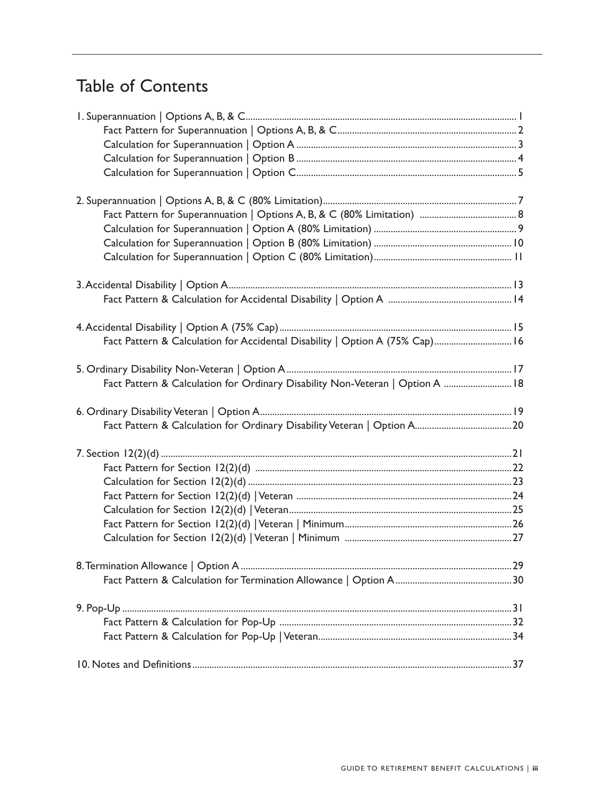# Table of Contents

| Fact Pattern & Calculation for Accidental Disability   Option A (75% Cap) 16  |  |
|-------------------------------------------------------------------------------|--|
|                                                                               |  |
| Fact Pattern & Calculation for Ordinary Disability Non-Veteran   Option A  18 |  |
|                                                                               |  |
|                                                                               |  |
|                                                                               |  |
|                                                                               |  |
|                                                                               |  |
|                                                                               |  |
|                                                                               |  |
|                                                                               |  |
|                                                                               |  |
|                                                                               |  |
|                                                                               |  |
|                                                                               |  |
|                                                                               |  |
|                                                                               |  |
|                                                                               |  |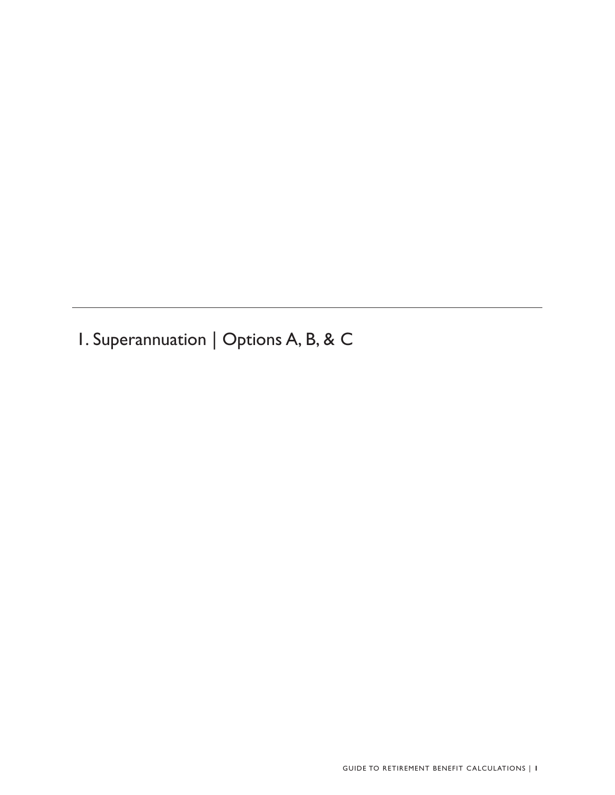1. Superannuation | Options A, B, & C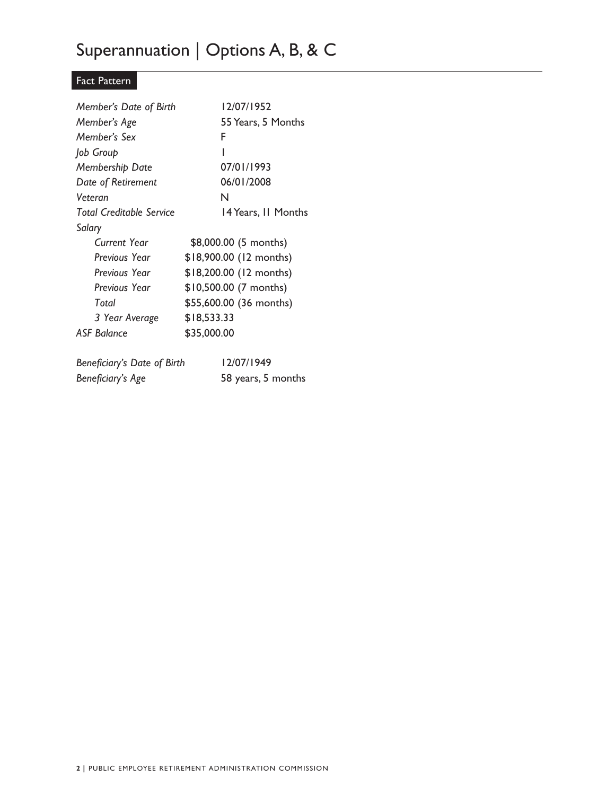# Superannuation | Options A, B, & C

### Fact Pattern

| Member's Date of Birth          | 12/07/1952              |
|---------------------------------|-------------------------|
| Member's Age                    | 55 Years, 5 Months      |
| Member's Sex                    | F                       |
| Job Group                       | ı                       |
| Membership Date                 | 07/01/1993              |
| Date of Retirement              | 06/01/2008              |
| Veteran                         | N                       |
| <b>Total Creditable Service</b> | 14 Years, II Months     |
| Salary                          |                         |
| Current Year                    | \$8,000.00 (5 months)   |
| Previous Year                   | \$18,900.00 (12 months) |
| Previous Year                   | \$18,200.00 (12 months) |
| Previous Year                   | \$10,500.00 (7 months)  |
| Total                           | \$55,600.00 (36 months) |
| 3 Year Average                  | \$18,533.33             |
| <b>ASF Balance</b>              | \$35,000.00             |
| Beneficiary's Date of Birth     | 12/07/1949              |
| Beneficiary's Age               | 58 years, 5 months      |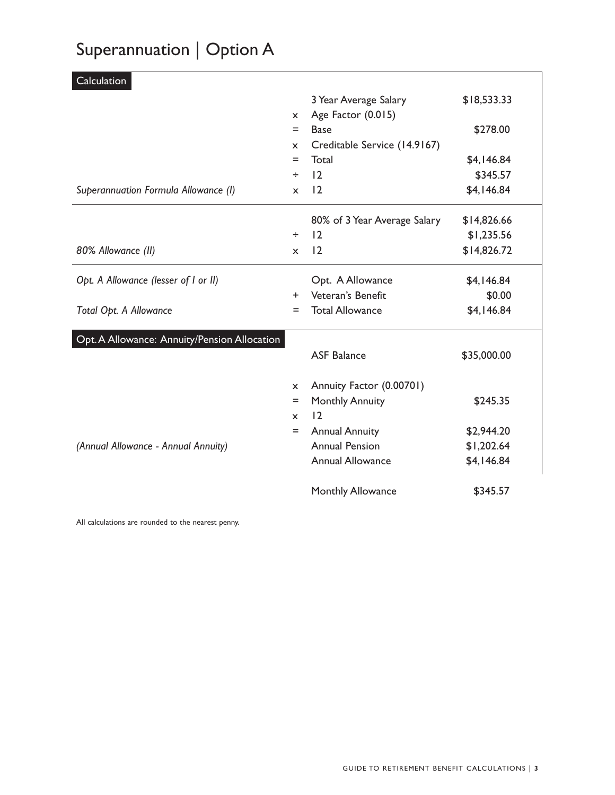# Superannuation | Option A

| Calculation                                  |              |                              |             |
|----------------------------------------------|--------------|------------------------------|-------------|
|                                              |              | 3 Year Average Salary        | \$18,533.33 |
|                                              | $\mathsf{x}$ | Age Factor (0.015)           |             |
|                                              | $=$          | <b>Base</b>                  | \$278.00    |
|                                              | $\mathsf{x}$ | Creditable Service (14.9167) |             |
|                                              | Ξ            | Total                        | \$4,146.84  |
|                                              | ÷            | 12                           | \$345.57    |
| Superannuation Formula Allowance (I)         | $\mathsf{x}$ | 12                           | \$4,146.84  |
|                                              |              | 80% of 3 Year Average Salary | \$14,826.66 |
|                                              | ÷            | 2                            | \$1,235.56  |
| 80% Allowance (II)                           | $\mathsf{x}$ | 12                           | \$14,826.72 |
| Opt. A Allowance (lesser of I or II)         |              | Opt. A Allowance             | \$4,146.84  |
|                                              | $+$          | Veteran's Benefit            | \$0.00      |
| Total Opt. A Allowance                       | $=$          | <b>Total Allowance</b>       | \$4,146.84  |
| Opt. A Allowance: Annuity/Pension Allocation |              |                              |             |
|                                              |              | <b>ASF Balance</b>           | \$35,000.00 |
|                                              | $\mathsf{x}$ | Annuity Factor (0.00701)     |             |
|                                              | Ξ            | <b>Monthly Annuity</b>       | \$245.35    |
|                                              | $\mathsf{x}$ | 12                           |             |
|                                              | $=$          | <b>Annual Annuity</b>        | \$2,944.20  |
| (Annual Allowance - Annual Annuity)          |              | <b>Annual Pension</b>        | \$1,202.64  |
|                                              |              | <b>Annual Allowance</b>      | \$4,146.84  |
|                                              |              | Monthly Allowance            | \$345.57    |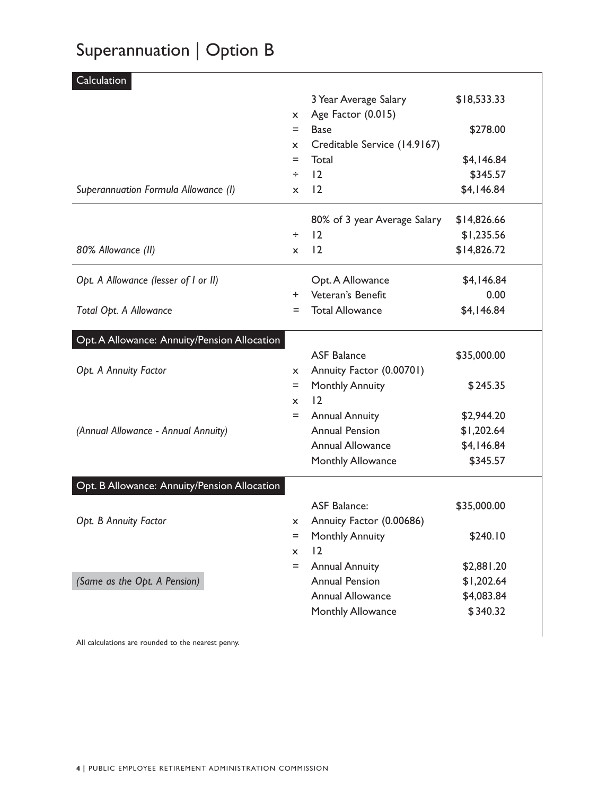# Superannuation | Option B

| Calculation                                  |              |                              |             |
|----------------------------------------------|--------------|------------------------------|-------------|
|                                              |              | 3 Year Average Salary        | \$18,533.33 |
|                                              | X.           | Age Factor (0.015)           |             |
|                                              | $=$          | <b>Base</b>                  | \$278.00    |
|                                              | $\mathsf{x}$ | Creditable Service (14.9167) |             |
|                                              | Ξ            | Total                        | \$4,146.84  |
|                                              | ÷            | 12                           | \$345.57    |
| Superannuation Formula Allowance (I)         | X            | 12                           | \$4,146.84  |
|                                              |              | 80% of 3 year Average Salary | \$14,826.66 |
|                                              | ÷            | 12                           | \$1,235.56  |
| 80% Allowance (II)                           | X.           | 12                           | \$14,826.72 |
| Opt. A Allowance (lesser of I or II)         |              | Opt. A Allowance             | \$4,146.84  |
|                                              | $+$          | Veteran's Benefit            | 0.00        |
| Total Opt. A Allowance                       | $=$          | <b>Total Allowance</b>       | \$4,146.84  |
| Opt. A Allowance: Annuity/Pension Allocation |              |                              |             |
|                                              |              | <b>ASF Balance</b>           | \$35,000.00 |
| Opt. A Annuity Factor                        | $\mathsf{x}$ | Annuity Factor (0.00701)     |             |
|                                              | $=$          | <b>Monthly Annuity</b>       | \$245.35    |
|                                              | $\mathsf{x}$ | 12                           |             |
|                                              | $=$          | <b>Annual Annuity</b>        | \$2,944.20  |
| (Annual Allowance - Annual Annuity)          |              | <b>Annual Pension</b>        | \$1,202.64  |
|                                              |              | <b>Annual Allowance</b>      | \$4,146.84  |
|                                              |              | Monthly Allowance            | \$345.57    |
| Opt. B Allowance: Annuity/Pension Allocation |              |                              |             |
|                                              |              | <b>ASF Balance:</b>          | \$35,000.00 |
| Opt. B Annuity Factor                        | x            | Annuity Factor (0.00686)     |             |
|                                              | Ξ            | <b>Monthly Annuity</b>       | \$240.10    |
|                                              | x            | 12                           |             |
|                                              | $=$          | <b>Annual Annuity</b>        | \$2,881.20  |
| (Same as the Opt. A Pension)                 |              | <b>Annual Pension</b>        | \$1,202.64  |
|                                              |              | <b>Annual Allowance</b>      | \$4,083.84  |
|                                              |              | Monthly Allowance            | \$340.32    |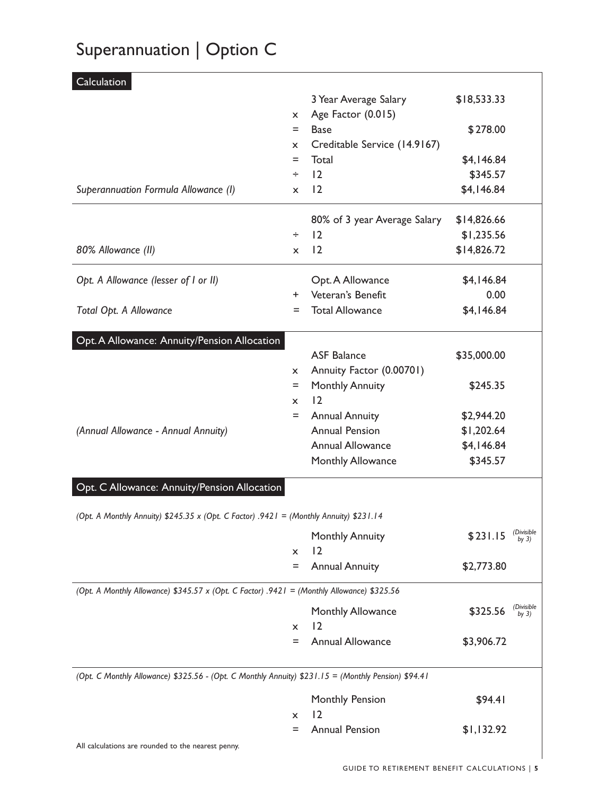# Superannuation | Option C

| Calculation                                                                                         |              |                              |             |                       |
|-----------------------------------------------------------------------------------------------------|--------------|------------------------------|-------------|-----------------------|
|                                                                                                     |              | 3 Year Average Salary        | \$18,533.33 |                       |
|                                                                                                     | $\mathsf{x}$ | Age Factor (0.015)           |             |                       |
|                                                                                                     | Ξ            | <b>Base</b>                  | \$278.00    |                       |
|                                                                                                     | $\mathsf{x}$ | Creditable Service (14.9167) |             |                       |
|                                                                                                     | Ξ            | Total                        | \$4,146.84  |                       |
|                                                                                                     | ÷            | 12                           | \$345.57    |                       |
| Superannuation Formula Allowance (I)                                                                | $\mathsf{x}$ | 12                           | \$4,146.84  |                       |
|                                                                                                     |              | 80% of 3 year Average Salary | \$14,826.66 |                       |
|                                                                                                     | ÷            | 12                           | \$1,235.56  |                       |
| 80% Allowance (II)                                                                                  | $\mathsf{x}$ | 12                           | \$14,826.72 |                       |
| Opt. A Allowance (lesser of I or II)                                                                |              | Opt. A Allowance             | \$4,146.84  |                       |
|                                                                                                     | $+$          | Veteran's Benefit            | 0.00        |                       |
| Total Opt. A Allowance                                                                              | $=$          | <b>Total Allowance</b>       | \$4,146.84  |                       |
| Opt. A Allowance: Annuity/Pension Allocation                                                        |              |                              |             |                       |
|                                                                                                     |              | <b>ASF Balance</b>           | \$35,000.00 |                       |
|                                                                                                     | $\mathsf{x}$ | Annuity Factor (0.00701)     |             |                       |
|                                                                                                     | $=$          | <b>Monthly Annuity</b>       | \$245.35    |                       |
|                                                                                                     | $\mathsf{x}$ | 12                           |             |                       |
|                                                                                                     | $=$          | <b>Annual Annuity</b>        | \$2,944.20  |                       |
| (Annual Allowance - Annual Annuity)                                                                 |              | <b>Annual Pension</b>        | \$1,202.64  |                       |
|                                                                                                     |              | <b>Annual Allowance</b>      | \$4,146.84  |                       |
|                                                                                                     |              | Monthly Allowance            | \$345.57    |                       |
| Opt. C Allowance: Annuity/Pension Allocation                                                        |              |                              |             |                       |
| (Opt. A Monthly Annuity) \$245.35 x (Opt. C Factor) .9421 = (Monthly Annuity) \$231.14              |              |                              |             |                       |
|                                                                                                     |              | <b>Monthly Annuity</b>       | \$231.15    | (Divisible<br>by $3)$ |
|                                                                                                     | $\mathsf{x}$ | 12                           |             |                       |
|                                                                                                     | Ξ            | <b>Annual Annuity</b>        | \$2,773.80  |                       |
| (Opt. A Monthly Allowance) \$345.57 x (Opt. C Factor) .9421 = (Monthly Allowance) \$325.56          |              |                              |             |                       |
|                                                                                                     |              | Monthly Allowance            | \$325.56    | (Divisible<br>by $3)$ |
|                                                                                                     | $\mathsf{x}$ | 12                           |             |                       |
|                                                                                                     | =            | <b>Annual Allowance</b>      | \$3,906.72  |                       |
| (Opt. C Monthly Allowance) \$325.56 - (Opt. C Monthly Annuity) \$231.15 = (Monthly Pension) \$94.41 |              |                              |             |                       |
|                                                                                                     |              | Monthly Pension              | \$94.41     |                       |
|                                                                                                     | $\mathsf{x}$ | 12                           |             |                       |
|                                                                                                     | Ξ            | <b>Annual Pension</b>        | \$1,132.92  |                       |
| All calculations are rounded to the nearest penny.                                                  |              |                              |             |                       |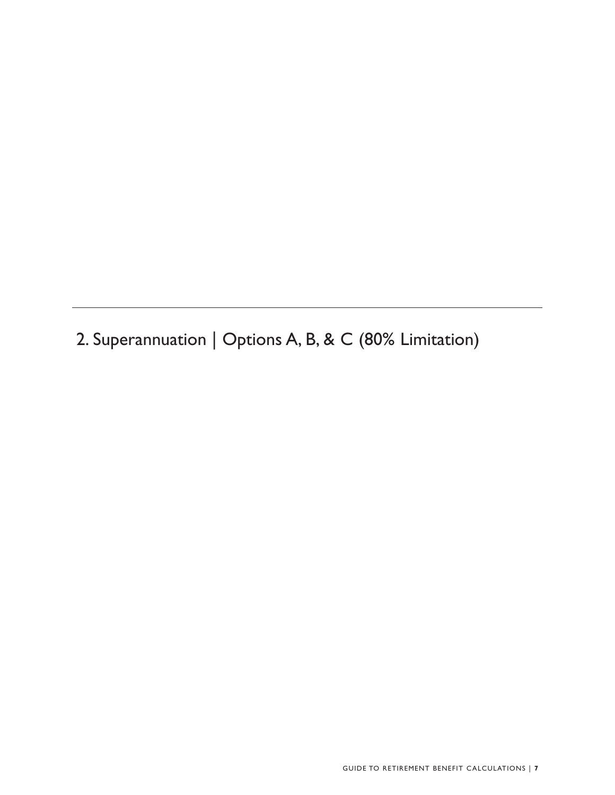2. Superannuation | Options A, B, & C (80% Limitation)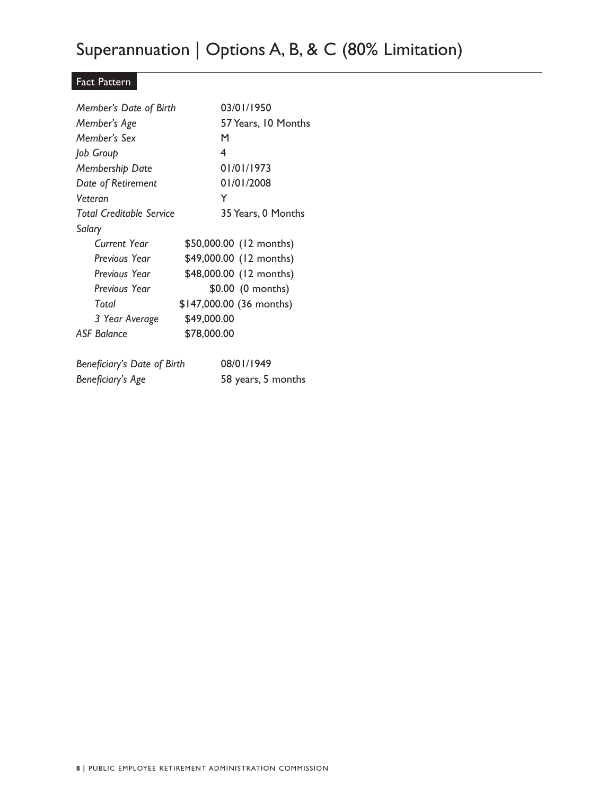# Superannuation | Options A, B, & C (80% Limitation)

#### Fact Pattern

| Member's Date of Birth          | 03/01/1950               |
|---------------------------------|--------------------------|
| Member's Age                    | 57 Years, 10 Months      |
| Member's Sex                    | M                        |
| Job Group                       | 4                        |
| Membership Date                 | 01/01/1973               |
| Date of Retirement              | 01/01/2008               |
| Veteran                         | Y                        |
| <b>Total Creditable Service</b> | 35 Years, 0 Months       |
| Salary                          |                          |
| Current Year                    | \$50,000.00 (12 months)  |
| Previous Year                   | \$49,000.00 (12 months)  |
| Previous Year                   | \$48,000.00 (12 months)  |
| Previous Year                   | \$0.00 (0 months)        |
| Total                           | \$147,000.00 (36 months) |
| 3 Year Average                  | \$49,000.00              |
| <b>ASF Balance</b>              | \$78,000.00              |
|                                 |                          |
| Beneficiary's Date of Birth     | 08/01/1949               |
| Beneficiary's Age               | 58 years, 5 months       |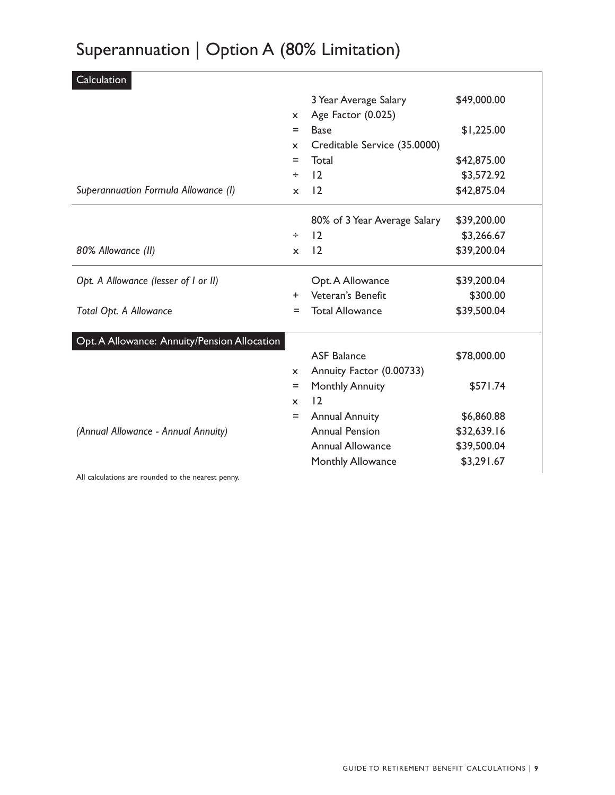# Superannuation | Option A (80% Limitation)

| Calculation                                        |              |                              |             |  |
|----------------------------------------------------|--------------|------------------------------|-------------|--|
|                                                    |              | 3 Year Average Salary        | \$49,000.00 |  |
|                                                    | $\mathsf{x}$ | Age Factor (0.025)           |             |  |
|                                                    | $=$          | <b>Base</b>                  | \$1,225.00  |  |
|                                                    | x            | Creditable Service (35.0000) |             |  |
|                                                    | $=$          | Total                        | \$42,875.00 |  |
|                                                    | ÷            | 12                           | \$3,572.92  |  |
| Superannuation Formula Allowance (I)               | $\mathsf{x}$ | 12                           | \$42,875.04 |  |
|                                                    |              | 80% of 3 Year Average Salary | \$39,200.00 |  |
|                                                    | ÷            | 12                           | \$3,266.67  |  |
| 80% Allowance (II)                                 | $\mathsf{x}$ | 12                           | \$39,200.04 |  |
| Opt. A Allowance (lesser of I or II)               |              | Opt. A Allowance             | \$39,200.04 |  |
|                                                    | $\pm$        | Veteran's Benefit            | \$300.00    |  |
| Total Opt. A Allowance                             | =            | <b>Total Allowance</b>       | \$39,500.04 |  |
| Opt. A Allowance: Annuity/Pension Allocation       |              |                              |             |  |
|                                                    |              | <b>ASF Balance</b>           | \$78,000.00 |  |
|                                                    | x            | Annuity Factor (0.00733)     |             |  |
|                                                    | $=$          | <b>Monthly Annuity</b>       | \$571.74    |  |
|                                                    | X            | 12                           |             |  |
|                                                    | $=$          | <b>Annual Annuity</b>        | \$6,860.88  |  |
| (Annual Allowance - Annual Annuity)                |              | <b>Annual Pension</b>        | \$32,639.16 |  |
|                                                    |              | <b>Annual Allowance</b>      | \$39,500.04 |  |
|                                                    |              | Monthly Allowance            | \$3,291.67  |  |
| All calculations are rounded to the nearest penny. |              |                              |             |  |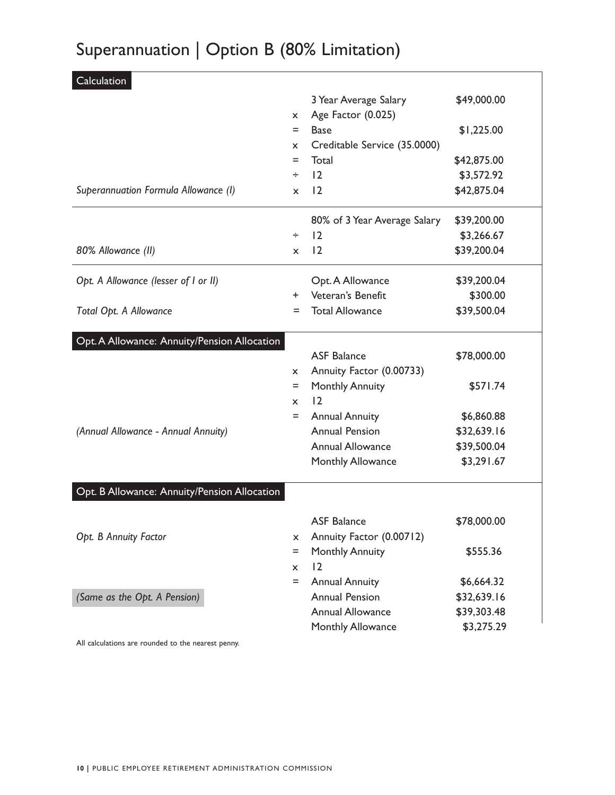# Superannuation | Option B (80% Limitation)

| Calculation                                        |              |                              |             |
|----------------------------------------------------|--------------|------------------------------|-------------|
|                                                    |              | 3 Year Average Salary        | \$49,000.00 |
|                                                    | X.           | Age Factor (0.025)           |             |
|                                                    | $=$          | <b>Base</b>                  | \$1,225.00  |
|                                                    | x            | Creditable Service (35.0000) |             |
|                                                    | Ξ            | Total                        | \$42,875.00 |
|                                                    | ÷            | 12                           | \$3,572.92  |
| Superannuation Formula Allowance (I)               | $\mathsf{x}$ | 12                           | \$42,875.04 |
|                                                    |              | 80% of 3 Year Average Salary | \$39,200.00 |
|                                                    | ÷            | 12                           | \$3,266.67  |
| 80% Allowance (II)                                 | $\mathsf{x}$ | 12                           | \$39,200.04 |
| Opt. A Allowance (lesser of I or II)               |              | Opt. A Allowance             | \$39,200.04 |
|                                                    | $\pm$        | Veteran's Benefit            | \$300.00    |
| Total Opt. A Allowance                             | Ξ            | <b>Total Allowance</b>       | \$39,500.04 |
| Opt. A Allowance: Annuity/Pension Allocation       |              |                              |             |
|                                                    |              | <b>ASF Balance</b>           | \$78,000.00 |
|                                                    | x.           | Annuity Factor (0.00733)     |             |
|                                                    | $=$          | <b>Monthly Annuity</b>       | \$571.74    |
|                                                    | x            | 12                           |             |
|                                                    | $=$          | <b>Annual Annuity</b>        | \$6,860.88  |
| (Annual Allowance - Annual Annuity)                |              | <b>Annual Pension</b>        | \$32,639.16 |
|                                                    |              | <b>Annual Allowance</b>      | \$39,500.04 |
|                                                    |              | Monthly Allowance            | \$3,291.67  |
| Opt. B Allowance: Annuity/Pension Allocation       |              |                              |             |
|                                                    |              | <b>ASF Balance</b>           | \$78,000.00 |
| Opt. B Annuity Factor                              | x            | Annuity Factor (0.00712)     |             |
|                                                    | Ξ            | <b>Monthly Annuity</b>       | \$555.36    |
|                                                    | $\mathsf{x}$ | 12                           |             |
|                                                    | $=$          | <b>Annual Annuity</b>        | \$6,664.32  |
| (Same as the Opt. A Pension)                       |              | <b>Annual Pension</b>        | \$32,639.16 |
|                                                    |              | <b>Annual Allowance</b>      | \$39,303.48 |
|                                                    |              | Monthly Allowance            | \$3,275.29  |
| All calculations are rounded to the nearest penny. |              |                              |             |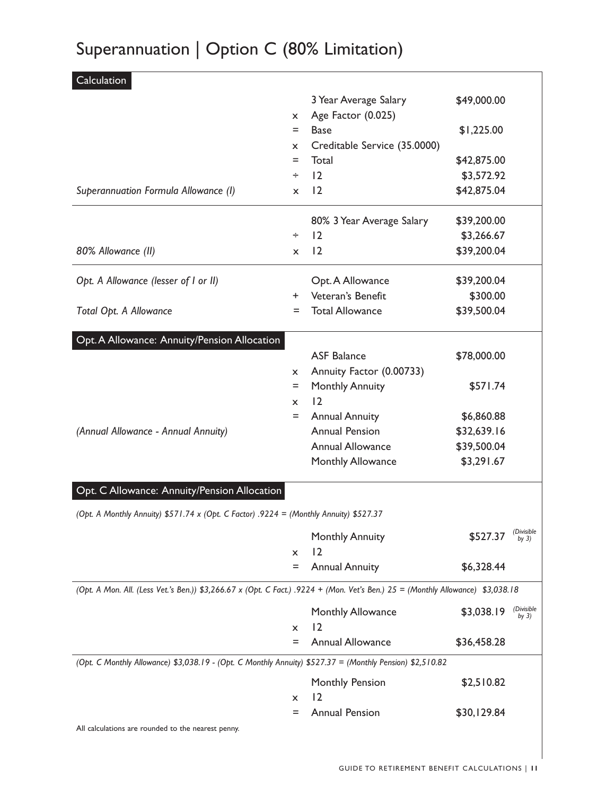# Superannuation | Option C (80% Limitation)

| Calculation                                                                                                                     |              |                              |             |                       |
|---------------------------------------------------------------------------------------------------------------------------------|--------------|------------------------------|-------------|-----------------------|
|                                                                                                                                 |              | 3 Year Average Salary        | \$49,000.00 |                       |
|                                                                                                                                 | X.           | Age Factor (0.025)           |             |                       |
|                                                                                                                                 | $=$          | <b>Base</b>                  | \$1,225.00  |                       |
|                                                                                                                                 | $\mathsf{x}$ | Creditable Service (35.0000) |             |                       |
|                                                                                                                                 | Ξ            | Total                        | \$42,875.00 |                       |
|                                                                                                                                 | ÷            | 12                           | \$3,572.92  |                       |
| Superannuation Formula Allowance (I)                                                                                            | X            | 12                           | \$42,875.04 |                       |
|                                                                                                                                 |              | 80% 3 Year Average Salary    | \$39,200.00 |                       |
|                                                                                                                                 | ÷            | 12                           | \$3,266.67  |                       |
| 80% Allowance (II)                                                                                                              | x            | 12                           | \$39,200.04 |                       |
| Opt. A Allowance (lesser of I or II)                                                                                            |              | Opt. A Allowance             | \$39,200.04 |                       |
|                                                                                                                                 | $+$          | Veteran's Benefit            | \$300.00    |                       |
| Total Opt. A Allowance                                                                                                          | $=$          | <b>Total Allowance</b>       | \$39,500.04 |                       |
| Opt. A Allowance: Annuity/Pension Allocation                                                                                    |              |                              |             |                       |
|                                                                                                                                 |              | <b>ASF Balance</b>           | \$78,000.00 |                       |
|                                                                                                                                 | $\mathsf{x}$ | Annuity Factor (0.00733)     |             |                       |
|                                                                                                                                 | Ξ            | <b>Monthly Annuity</b>       | \$571.74    |                       |
|                                                                                                                                 | $\mathsf{x}$ | 12                           |             |                       |
|                                                                                                                                 | $=$          | <b>Annual Annuity</b>        | \$6,860.88  |                       |
| (Annual Allowance - Annual Annuity)                                                                                             |              | <b>Annual Pension</b>        | \$32,639.16 |                       |
|                                                                                                                                 |              | <b>Annual Allowance</b>      | \$39,500.04 |                       |
|                                                                                                                                 |              | Monthly Allowance            | \$3,291.67  |                       |
| Opt. C Allowance: Annuity/Pension Allocation                                                                                    |              |                              |             |                       |
| (Opt. A Monthly Annuity) \$571.74 x (Opt. C Factor) .9224 = (Monthly Annuity) \$527.37                                          |              |                              |             |                       |
|                                                                                                                                 |              | <b>Monthly Annuity</b>       | \$527.37    | (Divisible<br>by $3)$ |
|                                                                                                                                 | x            | 2                            |             |                       |
|                                                                                                                                 | Ξ            | <b>Annual Annuity</b>        | \$6,328.44  |                       |
| (Opt. A Mon. All. (Less Vet.'s Ben.)) \$3,266.67 x (Opt. C Fact.) .9224 + (Mon. Vet's Ben.) 25 = (Monthly Allowance) \$3,038.18 |              |                              |             |                       |
|                                                                                                                                 |              | Monthly Allowance            | \$3,038.19  | (Divisible<br>by $3)$ |
|                                                                                                                                 | x            | 12                           |             |                       |
|                                                                                                                                 | Ξ            | <b>Annual Allowance</b>      | \$36,458.28 |                       |
| (Opt. C Monthly Allowance) \$3,038.19 - (Opt. C Monthly Annuity) \$527.37 = (Monthly Pension) \$2,510.82                        |              |                              |             |                       |
|                                                                                                                                 |              | Monthly Pension              | \$2,510.82  |                       |
|                                                                                                                                 | x            | 2                            |             |                       |
|                                                                                                                                 | Ξ            | <b>Annual Pension</b>        | \$30,129.84 |                       |
| All calculations are rounded to the nearest penny.                                                                              |              |                              |             |                       |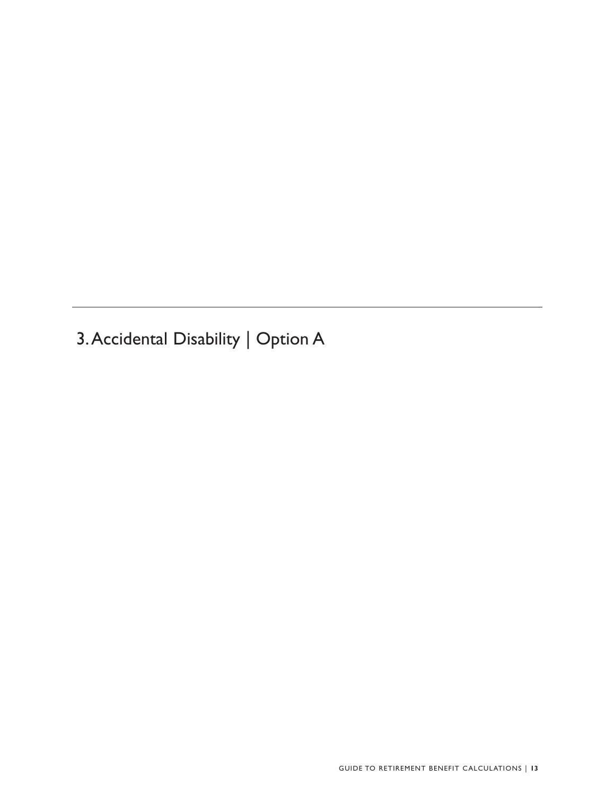3.Accidental Disability | Option A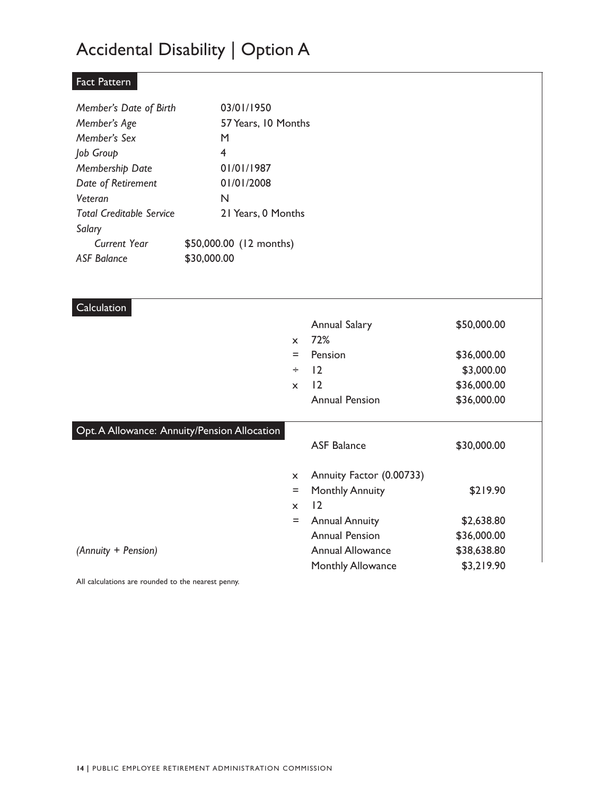# Accidental Disability | Option A

#### Fact Pattern

| Member's Date of Birth          | 03/01/1950              |
|---------------------------------|-------------------------|
| Member's Age                    | 57 Years, 10 Months     |
| Member's Sex                    | м                       |
| Job Group                       | 4                       |
| Membership Date                 | 01/01/1987              |
| Date of Retirement              | 01/01/2008              |
| Veteran                         | N                       |
| <b>Total Creditable Service</b> | 21 Years, 0 Months      |
| Salary                          |                         |
| Current Year                    | \$50,000.00 (12 months) |
| ASF Balance                     | \$30,000.00             |

| Calculation                                  |                           |                          |             |  |
|----------------------------------------------|---------------------------|--------------------------|-------------|--|
|                                              |                           | <b>Annual Salary</b>     | \$50,000.00 |  |
|                                              | $\mathsf{x}$              | 72%                      |             |  |
|                                              | $=$                       | Pension                  | \$36,000.00 |  |
|                                              | ÷                         | 12                       | \$3,000.00  |  |
|                                              | $\boldsymbol{\mathsf{x}}$ | 12                       | \$36,000.00 |  |
|                                              |                           | <b>Annual Pension</b>    | \$36,000.00 |  |
| Opt. A Allowance: Annuity/Pension Allocation |                           |                          |             |  |
|                                              |                           | <b>ASF Balance</b>       | \$30,000.00 |  |
|                                              | $\boldsymbol{\mathsf{x}}$ | Annuity Factor (0.00733) |             |  |
|                                              | $=$                       | <b>Monthly Annuity</b>   | \$219.90    |  |
|                                              | $\mathsf{x}$              | 12                       |             |  |
|                                              | $=$                       | <b>Annual Annuity</b>    | \$2,638.80  |  |
|                                              |                           | <b>Annual Pension</b>    | \$36,000.00 |  |
| (Annuity + Pension)                          |                           | <b>Annual Allowance</b>  | \$38,638.80 |  |
|                                              |                           | <b>Monthly Allowance</b> | \$3,219.90  |  |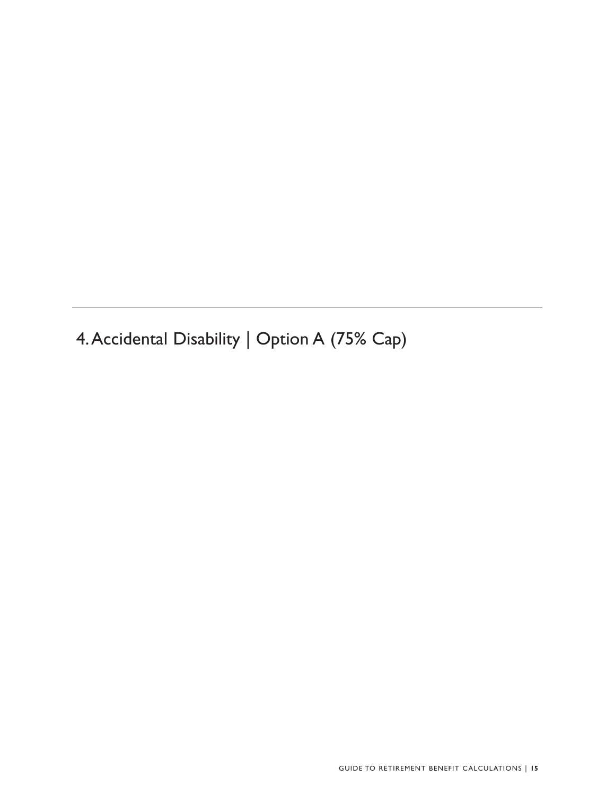4.Accidental Disability | Option A (75% Cap)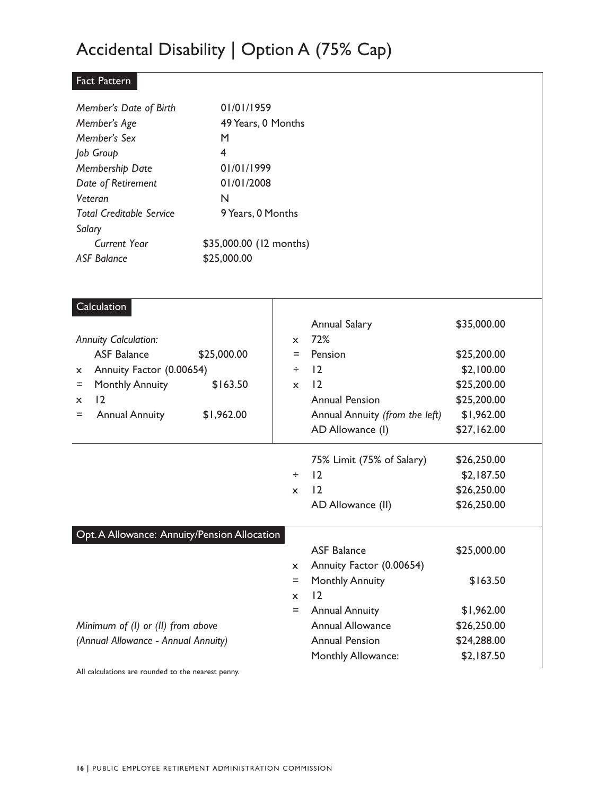### Accidental Disability | Option A (75% Cap)

#### Fact Pattern

| Member's Date of Birth          | 01/01/1959              |
|---------------------------------|-------------------------|
| Member's Age                    | 49 Years, 0 Months      |
| Member's Sex                    | М                       |
| Job Group                       | 4                       |
| Membership Date                 | 01/01/1999              |
| Date of Retirement              | 01/01/2008              |
| Veteran                         | N                       |
| <b>Total Creditable Service</b> | 9 Years, 0 Months       |
| Salary                          |                         |
| Current Year                    | \$35,000.00 (12 months) |
| ASF Balance                     | \$25,000.00             |

| Calculation                                  |              |                                |             |
|----------------------------------------------|--------------|--------------------------------|-------------|
|                                              |              | Annual Salary                  | \$35,000.00 |
| <b>Annuity Calculation:</b>                  | $\mathsf{x}$ | 72%                            |             |
| <b>ASF Balance</b><br>\$25,000.00            | Ξ            | Pension                        | \$25,200.00 |
| Annuity Factor (0.00654)<br>X.               | ÷            | 12                             | \$2,100.00  |
| \$163.50<br><b>Monthly Annuity</b><br>$=$    | $\mathsf{x}$ | 12                             | \$25,200.00 |
| 12<br>$\mathsf{x}$                           |              | <b>Annual Pension</b>          | \$25,200.00 |
| <b>Annual Annuity</b><br>\$1,962.00<br>$=$   |              | Annual Annuity (from the left) | \$1,962.00  |
|                                              |              | AD Allowance (I)               | \$27,162.00 |
|                                              |              | 75% Limit (75% of Salary)      | \$26,250.00 |
|                                              | ÷            | 12                             | \$2,187.50  |
|                                              | $\mathsf{x}$ | 12                             | \$26,250.00 |
|                                              |              | AD Allowance (II)              | \$26,250.00 |
| Opt. A Allowance: Annuity/Pension Allocation |              |                                |             |
|                                              |              | <b>ASF Balance</b>             | \$25,000.00 |
|                                              | $\mathsf{x}$ | Annuity Factor (0.00654)       |             |
|                                              | $\equiv$     | <b>Monthly Annuity</b>         | \$163.50    |
|                                              | $\mathsf{x}$ | 12                             |             |
|                                              | $\equiv$     | <b>Annual Annuity</b>          | \$1,962.00  |
| Minimum of (I) or (II) from above            |              | <b>Annual Allowance</b>        | \$26,250.00 |
| (Annual Allowance - Annual Annuity)          |              | <b>Annual Pension</b>          | \$24,288.00 |
|                                              |              | Monthly Allowance:             | \$2,187.50  |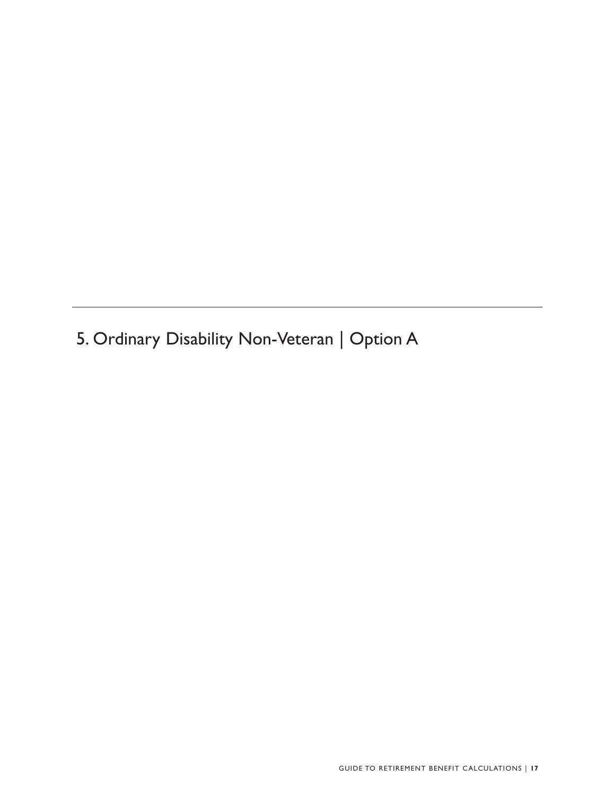5. Ordinary Disability Non-Veteran | Option A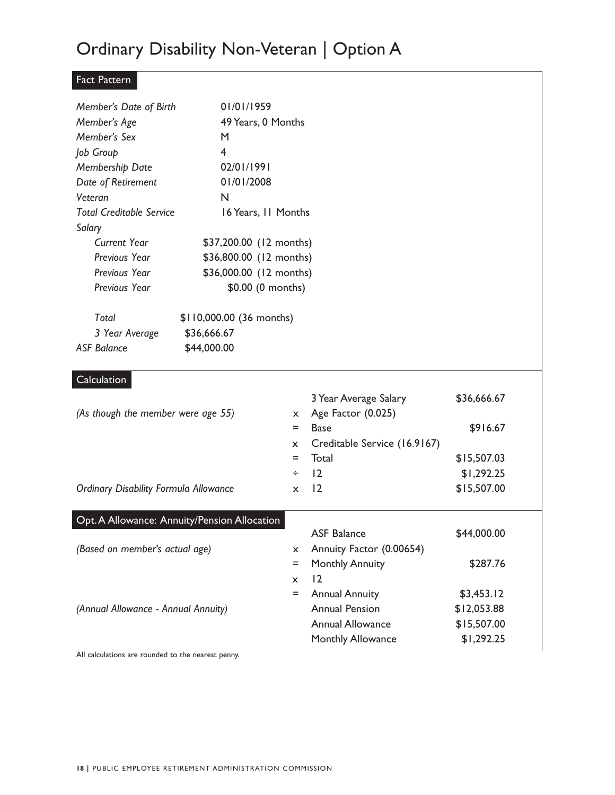# Ordinary Disability Non-Veteran | Option A

### Fact Pattern

| Member's Date of Birth                             | 01/01/1959                                   |              |                              |             |  |
|----------------------------------------------------|----------------------------------------------|--------------|------------------------------|-------------|--|
| Member's Age                                       | 49 Years, 0 Months                           |              |                              |             |  |
| Member's Sex                                       | M                                            |              |                              |             |  |
| Job Group                                          | 4                                            |              |                              |             |  |
| Membership Date                                    | 02/01/1991                                   |              |                              |             |  |
| Date of Retirement                                 | 01/01/2008                                   |              |                              |             |  |
| Veteran                                            | N                                            |              |                              |             |  |
| <b>Total Creditable Service</b><br>Salary          | 16 Years, 11 Months                          |              |                              |             |  |
| <b>Current Year</b>                                | \$37,200.00 (12 months)                      |              |                              |             |  |
| Previous Year                                      | \$36,800.00 (12 months)                      |              |                              |             |  |
| Previous Year                                      | \$36,000.00 (12 months)                      |              |                              |             |  |
| Previous Year                                      | \$0.00 (0 months)                            |              |                              |             |  |
| Total                                              | \$110,000.00 (36 months)                     |              |                              |             |  |
| 3 Year Average                                     | \$36,666.67                                  |              |                              |             |  |
| <b>ASF Balance</b>                                 | \$44,000.00                                  |              |                              |             |  |
| Calculation                                        |                                              |              |                              |             |  |
|                                                    |                                              |              | 3 Year Average Salary        | \$36,666.67 |  |
| (As though the member were age 55)                 |                                              | X.           | Age Factor (0.025)           |             |  |
|                                                    |                                              | $=$          | <b>Base</b>                  | \$916.67    |  |
|                                                    |                                              | $\mathsf{x}$ | Creditable Service (16.9167) |             |  |
|                                                    |                                              | $=$          | Total                        | \$15,507.03 |  |
|                                                    |                                              | ÷            | 2                            | \$1,292.25  |  |
| <b>Ordinary Disability Formula Allowance</b>       |                                              | $\mathsf{x}$ | 2                            | \$15,507.00 |  |
|                                                    | Opt. A Allowance: Annuity/Pension Allocation |              |                              |             |  |
|                                                    |                                              |              | <b>ASF Balance</b>           | \$44,000.00 |  |
| (Based on member's actual age)                     |                                              | x            | Annuity Factor (0.00654)     |             |  |
|                                                    |                                              | $=$          | <b>Monthly Annuity</b>       | \$287.76    |  |
|                                                    |                                              | X.           | 12                           |             |  |
|                                                    |                                              | Ξ            | <b>Annual Annuity</b>        | \$3,453.12  |  |
| (Annual Allowance - Annual Annuity)                |                                              |              | <b>Annual Pension</b>        | \$12,053.88 |  |
|                                                    |                                              |              | <b>Annual Allowance</b>      | \$15,507.00 |  |
|                                                    |                                              |              | Monthly Allowance            | \$1,292.25  |  |
| All calculations are rounded to the nearest penny. |                                              |              |                              |             |  |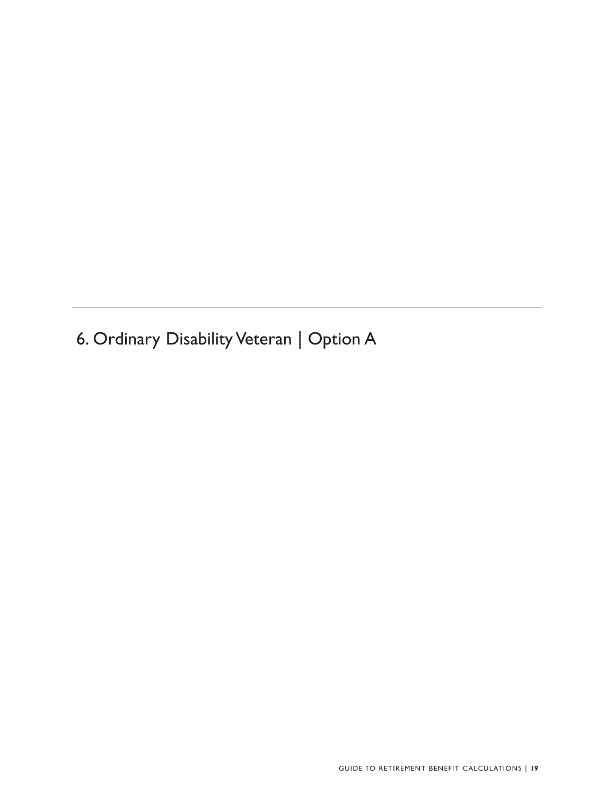6. Ordinary Disability Veteran | Option A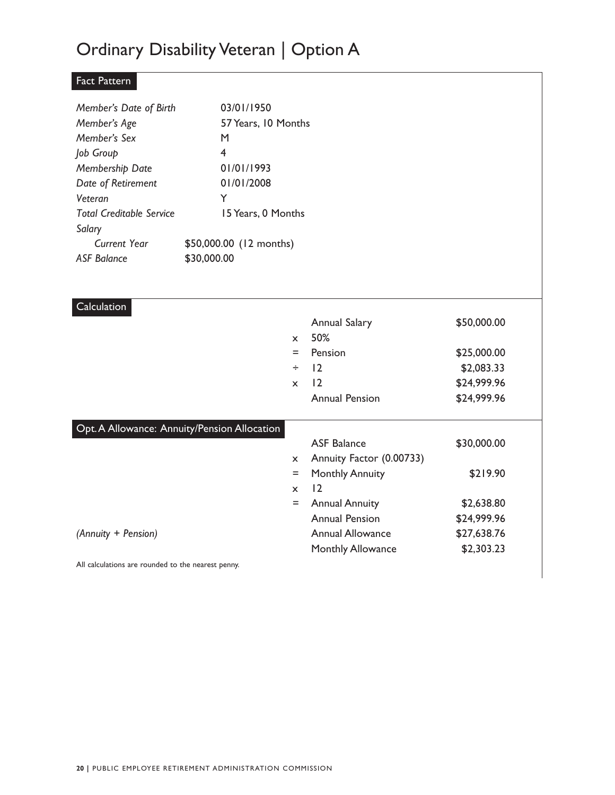### Ordinary Disability Veteran | Option A

#### Fact Pattern

| Member's Date of Birth          | 03/01/1950              |
|---------------------------------|-------------------------|
| Member's Age                    | 57 Years, 10 Months     |
| Member's Sex                    | м                       |
| Job Group                       | 4                       |
| Membership Date                 | 01/01/1993              |
| Date of Retirement              | 01/01/2008              |
| Veteran                         | Y                       |
| <b>Total Creditable Service</b> | 15 Years, 0 Months      |
| Salary                          |                         |
| Current Year                    | \$50,000.00 (12 months) |
| ASF Balance                     | \$30,000.00             |

| Calculation                                  |                           |                          |             |
|----------------------------------------------|---------------------------|--------------------------|-------------|
|                                              |                           | <b>Annual Salary</b>     | \$50,000.00 |
|                                              | $\mathsf{x}$              | 50%                      |             |
|                                              | $=$                       | Pension                  | \$25,000.00 |
|                                              | ÷                         | 12                       | \$2,083.33  |
|                                              | $\boldsymbol{\mathsf{x}}$ | $\overline{12}$          | \$24,999.96 |
|                                              |                           | <b>Annual Pension</b>    | \$24,999.96 |
|                                              |                           |                          |             |
| Opt. A Allowance: Annuity/Pension Allocation |                           |                          |             |
|                                              |                           | <b>ASF Balance</b>       | \$30,000.00 |
|                                              | $\mathsf{x}$              | Annuity Factor (0.00733) |             |
|                                              | $=$                       | <b>Monthly Annuity</b>   | \$219.90    |
|                                              | $\mathbf{x}$              | 12                       |             |
|                                              | Ξ                         | <b>Annual Annuity</b>    | \$2,638.80  |
|                                              |                           | <b>Annual Pension</b>    | \$24,999.96 |
| (Annuity + Pension)                          |                           | <b>Annual Allowance</b>  | \$27,638.76 |
|                                              |                           | <b>Monthly Allowance</b> | \$2,303.23  |
|                                              |                           |                          |             |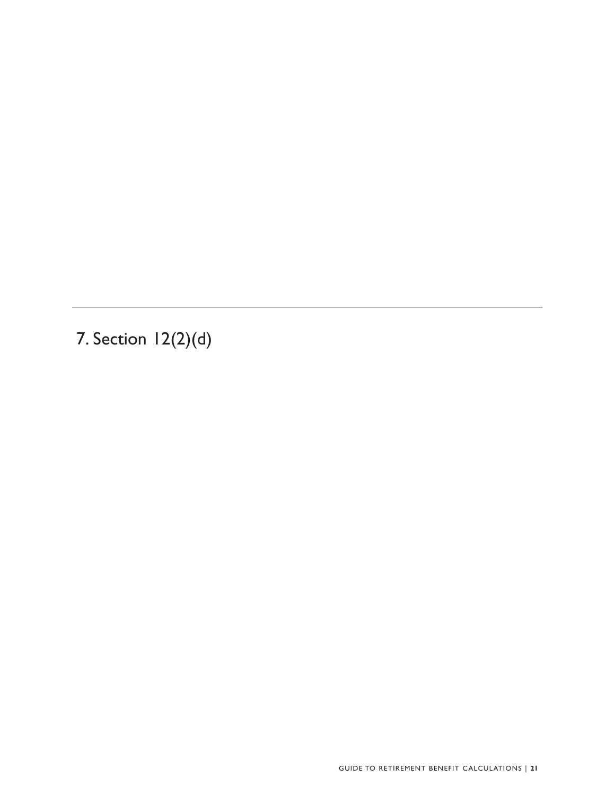7. Section 12(2)(d)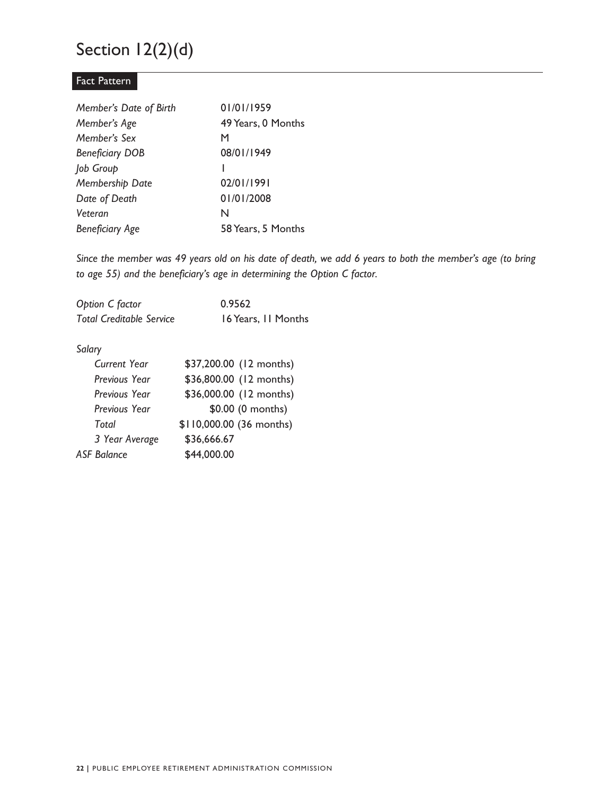### Section 12(2)(d)

#### Fact Pattern

| Member's Date of Birth | 01/01/1959         |
|------------------------|--------------------|
| Member's Age           | 49 Years, 0 Months |
| Member's Sex           | м                  |
| <b>Beneficiary DOB</b> | 08/01/1949         |
| Job Group              |                    |
| Membership Date        | 02/01/1991         |
| Date of Death          | 01/01/2008         |
| Veteran                | N                  |
| <b>Beneficiary Age</b> | 58 Years, 5 Months |

*Since the member was 49 years old on his date of death, we add 6 years to both the member's age (to bring to age 55) and the beneficiary's age in determining the Option C factor.* 

| Option C factor                 | 0.9562              |
|---------------------------------|---------------------|
| <b>Total Creditable Service</b> | 16 Years, 11 Months |

#### Salary

| Salary               |                          |
|----------------------|--------------------------|
| Current Year         | \$37,200.00 (12 months)  |
| Previous Year        | \$36,800.00 (12 months)  |
| <b>Previous Year</b> | \$36,000.00 (12 months)  |
| <b>Previous Year</b> | \$0.00 (0 months)        |
| Total                | \$110,000.00 (36 months) |
| 3 Year Average       | \$36,666.67              |
| <b>ASF Balance</b>   | \$44,000.00              |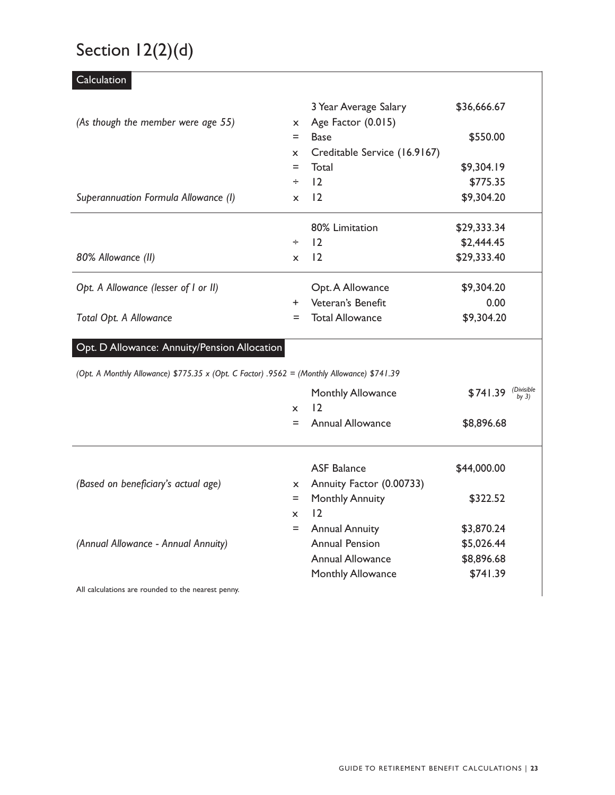# Section 12(2)(d)

| Calculation                                                                                |              |                              |             |                     |
|--------------------------------------------------------------------------------------------|--------------|------------------------------|-------------|---------------------|
|                                                                                            |              | 3 Year Average Salary        | \$36,666.67 |                     |
| (As though the member were age 55)                                                         | $\mathsf{x}$ | Age Factor (0.015)           |             |                     |
|                                                                                            | $=$          | <b>Base</b>                  | \$550.00    |                     |
|                                                                                            | $\mathsf{x}$ | Creditable Service (16.9167) |             |                     |
|                                                                                            | $=$          | Total                        | \$9,304.19  |                     |
|                                                                                            | ÷            | 12                           | \$775.35    |                     |
| Superannuation Formula Allowance (I)                                                       | $\mathsf{x}$ | 12                           | \$9,304.20  |                     |
|                                                                                            |              | 80% Limitation               | \$29,333.34 |                     |
|                                                                                            | ÷            | $ 2\rangle$                  | \$2,444.45  |                     |
| 80% Allowance (II)                                                                         | $\mathsf{x}$ | 12                           | \$29,333.40 |                     |
| Opt. A Allowance (lesser of I or II)                                                       |              | Opt. A Allowance             | \$9,304.20  |                     |
|                                                                                            | $+$          | Veteran's Benefit            | 0.00        |                     |
| Total Opt. A Allowance                                                                     | I.           | <b>Total Allowance</b>       | \$9,304.20  |                     |
| Opt. D Allowance: Annuity/Pension Allocation                                               |              |                              |             |                     |
| (Opt. A Monthly Allowance) \$775.35 x (Opt. C Factor) .9562 = (Monthly Allowance) \$741.39 |              |                              |             |                     |
|                                                                                            |              | Monthly Allowance            | \$741.39    | (Divisible<br>bv 3) |
|                                                                                            | <b>X</b>     | 12                           |             |                     |
|                                                                                            | $=$          | <b>Annual Allowance</b>      | \$8,896.68  |                     |
|                                                                                            |              | <b>ASF Balance</b>           | \$44,000.00 |                     |
| (Based on beneficiary's actual age)                                                        | $\mathsf{x}$ | Annuity Factor (0.00733)     |             |                     |
|                                                                                            | $=$          | <b>Monthly Annuity</b>       | \$322.52    |                     |
|                                                                                            | <b>x</b>     | $\overline{12}$              |             |                     |
|                                                                                            | $=$          | <b>Annual Annuity</b>        | \$3,870.24  |                     |
| (Annual Allowance - Annual Annuity)                                                        |              | <b>Annual Pension</b>        | \$5,026.44  |                     |
|                                                                                            |              | <b>Annual Allowance</b>      | \$8,896.68  |                     |
|                                                                                            |              | Monthly Allowance            | \$741.39    |                     |
| All calculations are rounded to the nearest penny.                                         |              |                              |             |                     |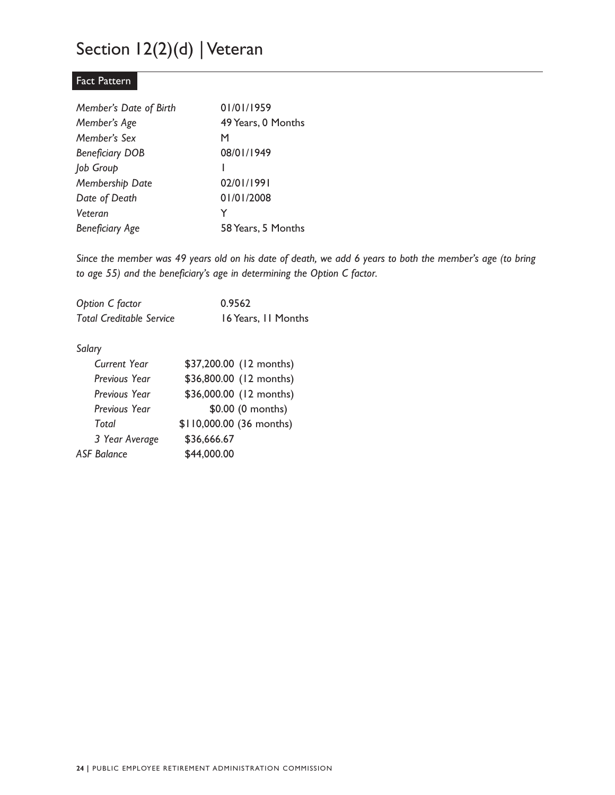### Section 12(2)(d) | Veteran

#### Fact Pattern

| Member's Date of Birth | 01/01/1959         |
|------------------------|--------------------|
| Member's Age           | 49 Years, 0 Months |
| Member's Sex           | м                  |
| <b>Beneficiary DOB</b> | 08/01/1949         |
| Job Group              |                    |
| Membership Date        | 02/01/1991         |
| Date of Death          | 01/01/2008         |
| Veteran                | Y                  |
| <b>Beneficiary Age</b> | 58 Years, 5 Months |

*Since the member was 49 years old on his date of death, we add 6 years to both the member's age (to bring to age 55) and the beneficiary's age in determining the Option C factor.* 

| Option C factor                 | 0.9562              |
|---------------------------------|---------------------|
| <b>Total Creditable Service</b> | 16 Years, 11 Months |

#### Salary

| Salary               |                          |
|----------------------|--------------------------|
| Current Year         | \$37,200.00 (12 months)  |
| Previous Year        | \$36,800.00 (12 months)  |
| <b>Previous Year</b> | \$36,000.00 (12 months)  |
| <b>Previous Year</b> | \$0.00 (0 months)        |
| Total                | \$110,000.00 (36 months) |
| 3 Year Average       | \$36,666.67              |
| <b>ASF Balance</b>   | \$44,000.00              |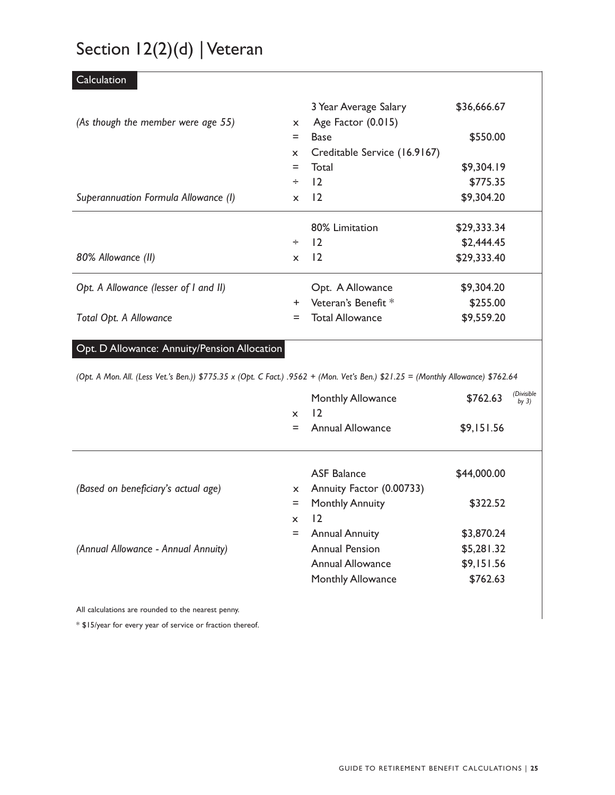# Section 12(2)(d) | Veteran

| Calculation                                                                                                                      |                           |                                |             |                       |
|----------------------------------------------------------------------------------------------------------------------------------|---------------------------|--------------------------------|-------------|-----------------------|
|                                                                                                                                  |                           | 3 Year Average Salary          | \$36,666.67 |                       |
| (As though the member were age 55)                                                                                               | $\boldsymbol{\mathsf{x}}$ | Age Factor (0.015)             |             |                       |
|                                                                                                                                  | $=$                       | <b>Base</b>                    | \$550.00    |                       |
|                                                                                                                                  | X                         | Creditable Service (16.9167)   |             |                       |
|                                                                                                                                  | $=$                       | Total                          | \$9,304.19  |                       |
|                                                                                                                                  | ÷                         | 12                             | \$775.35    |                       |
| Superannuation Formula Allowance (I)                                                                                             | $\mathsf{x}$              | $\overline{2}$                 | \$9,304.20  |                       |
|                                                                                                                                  |                           | 80% Limitation                 | \$29,333.34 |                       |
|                                                                                                                                  | $\div$                    | 12                             | \$2,444.45  |                       |
| 80% Allowance (II)                                                                                                               | $\mathsf{x}$              | $\overline{2}$                 | \$29,333.40 |                       |
| Opt. A Allowance (lesser of I and II)                                                                                            |                           | Opt. A Allowance               | \$9,304.20  |                       |
|                                                                                                                                  | $\ddot{}$                 | Veteran's Benefit <sup>*</sup> | \$255.00    |                       |
| Total Opt. A Allowance                                                                                                           | Ξ                         | <b>Total Allowance</b>         | \$9,559.20  |                       |
| Opt. D Allowance: Annuity/Pension Allocation                                                                                     |                           |                                |             |                       |
| (Opt. A Mon. All. (Less Vet.'s Ben.)) \$775.35 x (Opt. C Fact.) .9562 + (Mon. Vet's Ben.) \$21.25 = (Monthly Allowance) \$762.64 |                           |                                |             |                       |
|                                                                                                                                  |                           | Monthly Allowance              | \$762.63    | (Divisible<br>by $3)$ |
|                                                                                                                                  | X                         | 12                             |             |                       |
|                                                                                                                                  | $=$                       | <b>Annual Allowance</b>        | \$9,151.56  |                       |
|                                                                                                                                  |                           | <b>ASF Balance</b>             | \$44,000.00 |                       |
| (Based on beneficiary's actual age)                                                                                              | $\mathsf{x}$              | Annuity Factor (0.00733)       |             |                       |
|                                                                                                                                  | $=$                       | <b>Monthly Annuity</b>         | \$322.52    |                       |
|                                                                                                                                  | $\mathsf{x}$              | 12                             |             |                       |
|                                                                                                                                  | $=$                       | <b>Annual Annuity</b>          | \$3,870.24  |                       |
| (Annual Allowance - Annual Annuity)                                                                                              |                           | <b>Annual Pension</b>          | \$5,281.32  |                       |
|                                                                                                                                  |                           | <b>Annual Allowance</b>        | \$9,151.56  |                       |
|                                                                                                                                  |                           | Monthly Allowance              | \$762.63    |                       |
|                                                                                                                                  |                           |                                |             |                       |

All calculations are rounded to the nearest penny.

\* \$15/year for every year of service or fraction thereof.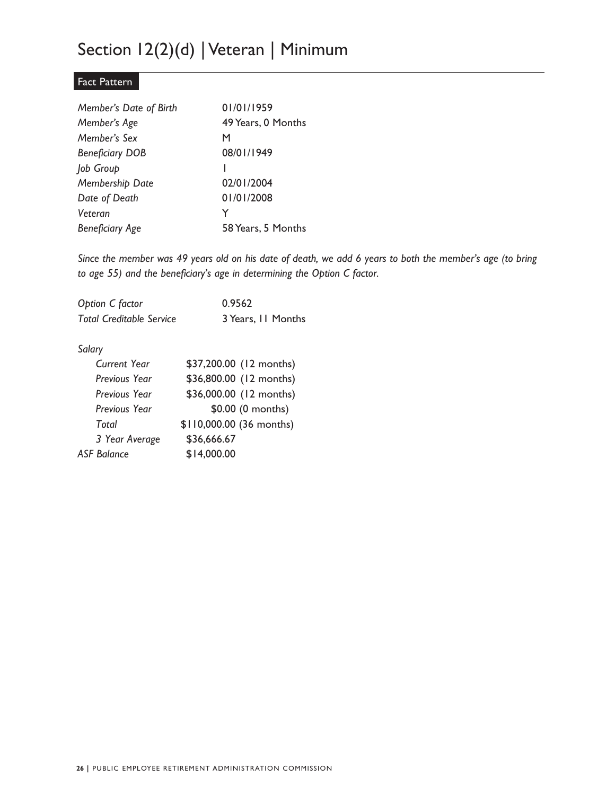### Section 12(2)(d) | Veteran | Minimum

#### Fact Pattern

| Member's Date of Birth | 01/01/1959         |
|------------------------|--------------------|
| Member's Age           | 49 Years, 0 Months |
| Member's Sex           | м                  |
| <b>Beneficiary DOB</b> | 08/01/1949         |
| Job Group              |                    |
| Membership Date        | 02/01/2004         |
| Date of Death          | 01/01/2008         |
| Veteran                | Y                  |
| <b>Beneficiary Age</b> | 58 Years, 5 Months |

*Since the member was 49 years old on his date of death, we add 6 years to both the member's age (to bring to age 55) and the beneficiary's age in determining the Option C factor.* 

| Option C factor                 | 0.9562             |
|---------------------------------|--------------------|
| <b>Total Creditable Service</b> | 3 Years, II Months |

#### Salary

| Salary             |                          |
|--------------------|--------------------------|
| Current Year       | \$37,200.00 (12 months)  |
| Previous Year      | \$36,800.00 (12 months)  |
| Previous Year      | \$36,000.00 (12 months)  |
| Previous Year      | \$0.00 (0 months)        |
| Total              | \$110,000.00 (36 months) |
| 3 Year Average     | \$36,666.67              |
| <b>ASF Balance</b> | \$14,000.00              |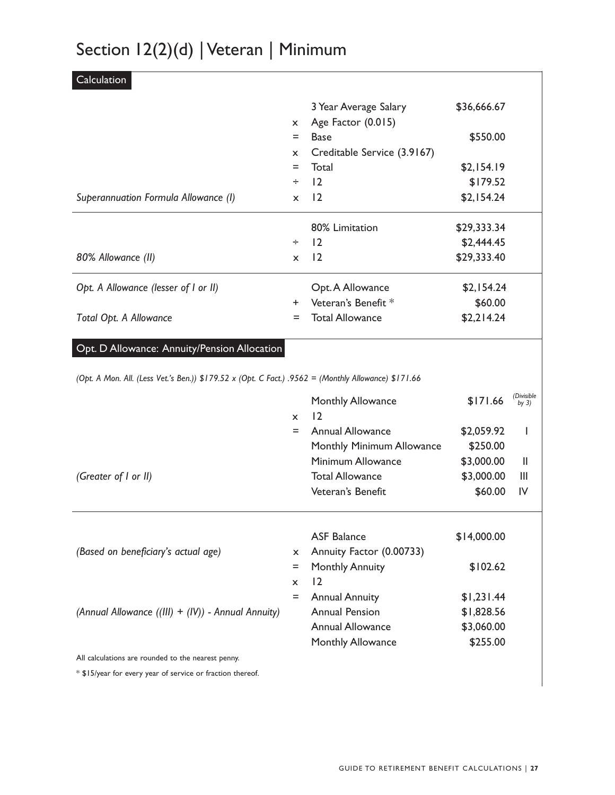# Section 12(2)(d) | Veteran | Minimum

| Calculation                                                                                          |                     |                                                    |                        |                            |
|------------------------------------------------------------------------------------------------------|---------------------|----------------------------------------------------|------------------------|----------------------------|
|                                                                                                      |                     | 3 Year Average Salary                              | \$36,666.67            |                            |
|                                                                                                      | x                   | Age Factor (0.015)                                 |                        |                            |
|                                                                                                      | $=$                 | <b>Base</b>                                        | \$550.00               |                            |
|                                                                                                      | x                   | Creditable Service (3.9167)                        |                        |                            |
|                                                                                                      | Ξ                   | Total                                              | \$2,154.19             |                            |
|                                                                                                      | ÷                   | 12                                                 | \$179.52               |                            |
| Superannuation Formula Allowance (I)                                                                 | $\mathsf{x}$        | 12                                                 | \$2,154.24             |                            |
|                                                                                                      |                     | 80% Limitation                                     | \$29,333.34            |                            |
|                                                                                                      | ÷                   | 12                                                 | \$2,444.45             |                            |
| 80% Allowance (II)                                                                                   | X                   | 12                                                 | \$29,333.40            |                            |
| Opt. A Allowance (lesser of I or II)                                                                 |                     | Opt. A Allowance                                   | \$2,154.24             |                            |
|                                                                                                      | $\ddot{}$           | Veteran's Benefit *                                | \$60.00                |                            |
| Total Opt. A Allowance                                                                               | =                   | <b>Total Allowance</b>                             | \$2,214.24             |                            |
| (Opt. A Mon. All. (Less Vet.'s Ben.)) \$179.52 x (Opt. C Fact.) .9562 = (Monthly Allowance) \$171.66 | $\mathsf{x}$<br>$=$ | Monthly Allowance<br>12<br><b>Annual Allowance</b> | \$171.66<br>\$2,059.92 | (Divisible<br>by $3)$<br>ı |
|                                                                                                      |                     | Monthly Minimum Allowance                          | \$250.00               |                            |
|                                                                                                      |                     | Minimum Allowance                                  | \$3,000.00             | Ш                          |
| (Greater of I or II)                                                                                 |                     | <b>Total Allowance</b>                             | \$3,000.00             | Ш                          |
|                                                                                                      |                     | Veteran's Benefit                                  | \$60.00                | IV                         |
| (Based on beneficiary's actual age)                                                                  | X.                  | <b>ASF Balance</b><br>Annuity Factor (0.00733)     | \$14,000.00            |                            |
|                                                                                                      | $=$                 | <b>Monthly Annuity</b>                             |                        |                            |
|                                                                                                      |                     |                                                    | \$102.62               |                            |
|                                                                                                      | x                   | 12                                                 |                        |                            |
|                                                                                                      | $=$                 | <b>Annual Annuity</b>                              | \$1,231.44             |                            |
| (Annual Allowance ((III) + (IV)) - Annual Annuity)                                                   |                     | <b>Annual Pension</b>                              | \$1,828.56             |                            |
|                                                                                                      |                     | <b>Annual Allowance</b><br>Monthly Allowance       | \$3,060.00<br>\$255.00 |                            |

 $*$  \$15/year for every year of service or fraction thereof.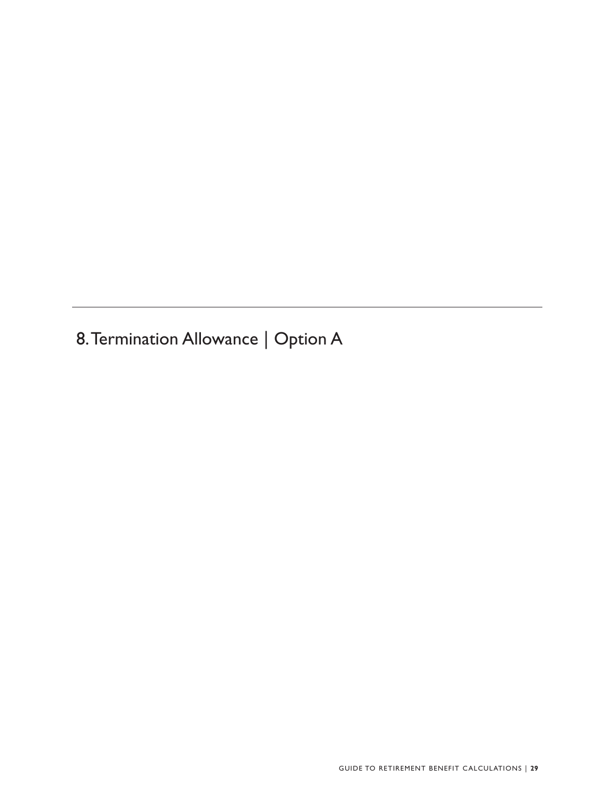8.Termination Allowance | Option A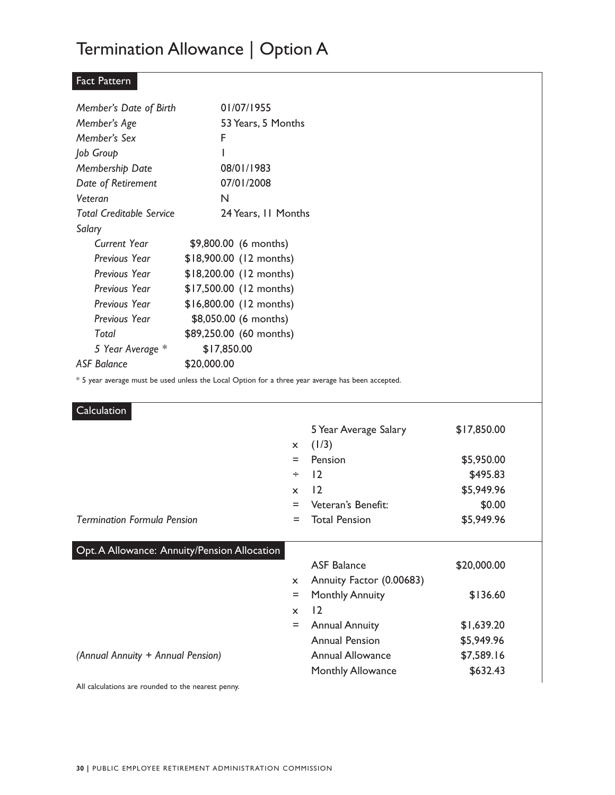### Termination Allowance | Option A

#### Fact Pattern

| Member's Date of Birth          | 01/07/1955              |
|---------------------------------|-------------------------|
| Member's Age                    | 53 Years, 5 Months      |
| Member's Sex                    | F                       |
| Job Group                       | ı                       |
| Membership Date                 | 08/01/1983              |
| Date of Retirement              | 07/01/2008              |
| Veteran                         | N                       |
| <b>Total Creditable Service</b> | 24 Years, II Months     |
| Salary                          |                         |
| Current Year                    | \$9,800.00 (6 months)   |
| Previous Year                   | \$18,900.00 (12 months) |
| Previous Year                   | \$18,200.00 (12 months) |
| Previous Year                   | \$17,500.00 (12 months) |
| Previous Year                   | \$16,800.00 (12 months) |
| Previous Year                   | \$8,050.00 (6 months)   |
| Total                           | \$89,250.00 (60 months) |
| 5 Year Average *                | \$17,850.00             |
| <b>ASF Balance</b>              | \$20,000.00             |

\* 5 year average must be used unless the Local Option for a three year average has been accepted.

| Calculation                                  |              |                          |             |  |
|----------------------------------------------|--------------|--------------------------|-------------|--|
|                                              |              | 5 Year Average Salary    | \$17,850.00 |  |
|                                              | $\mathsf{x}$ | (1/3)                    |             |  |
|                                              | $=$          | Pension                  | \$5,950.00  |  |
|                                              | $\div$       | 12                       | \$495.83    |  |
|                                              | $\mathsf{x}$ | 12                       | \$5,949.96  |  |
|                                              | $=$          | Veteran's Benefit:       | \$0.00      |  |
| <b>Termination Formula Pension</b>           | $=$          | <b>Total Pension</b>     | \$5,949.96  |  |
|                                              |              |                          |             |  |
| Opt. A Allowance: Annuity/Pension Allocation |              |                          |             |  |
|                                              |              | <b>ASF Balance</b>       | \$20,000.00 |  |
|                                              | $\mathsf{x}$ | Annuity Factor (0.00683) |             |  |
|                                              | $=$          | <b>Monthly Annuity</b>   | \$136.60    |  |
|                                              | $\mathsf{x}$ | 12                       |             |  |
|                                              | $=$          | <b>Annual Annuity</b>    | \$1,639.20  |  |
|                                              |              | <b>Annual Pension</b>    | \$5,949.96  |  |
|                                              |              |                          |             |  |
| (Annual Annuity + Annual Pension)            |              | <b>Annual Allowance</b>  | \$7,589.16  |  |
|                                              |              | <b>Monthly Allowance</b> | \$632.43    |  |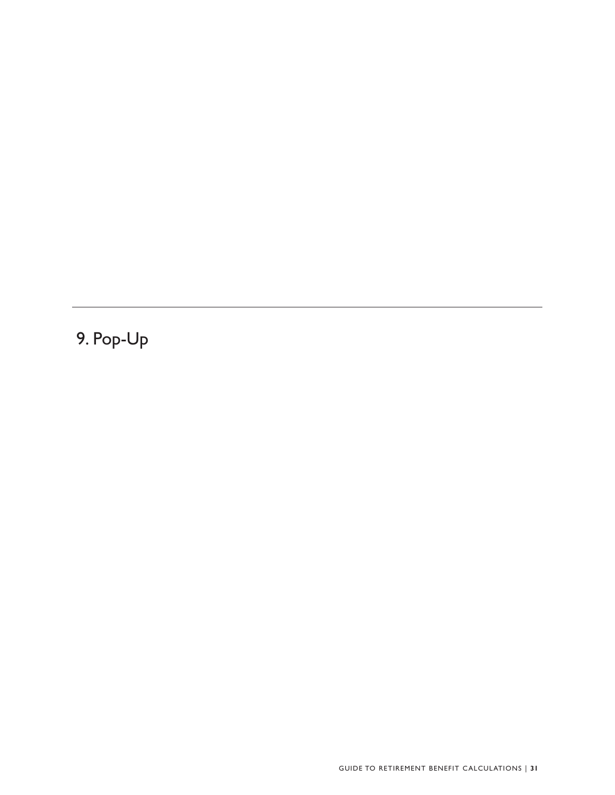9. Pop-Up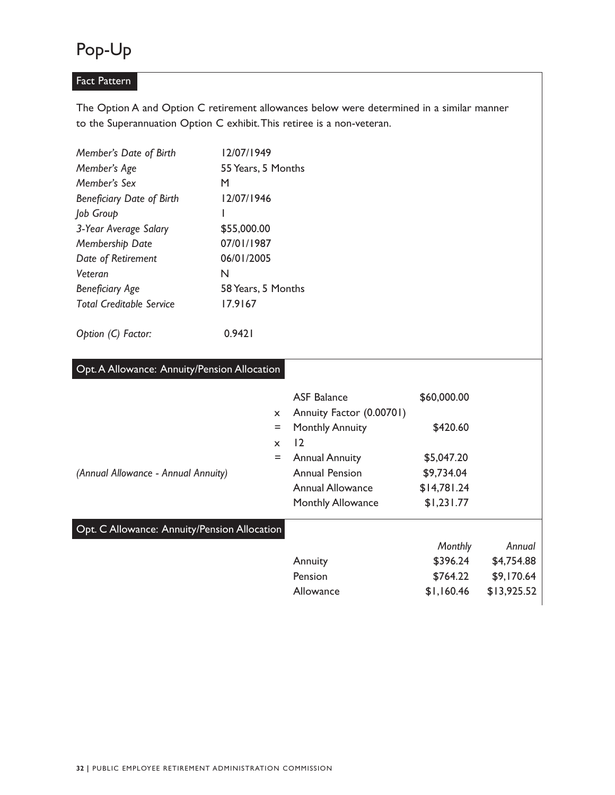### Pop-Up

#### Fact Pattern

 to the Superannuation Option C exhibit.This retiree is a non-veteran. The Option A and Option C retirement allowances below were determined in a similar manner

| Member's Date of Birth           | 12/07/1949         |
|----------------------------------|--------------------|
| Member's Age                     | 55 Years, 5 Months |
| Member's Sex                     | М                  |
| <b>Beneficiary Date of Birth</b> | 12/07/1946         |
| Job Group                        |                    |
| 3-Year Average Salary            | \$55,000.00        |
| Membership Date                  | 07/01/1987         |
| Date of Retirement               | 06/01/2005         |
| Veteran                          | N                  |
| <b>Beneficiary Age</b>           | 58 Years, 5 Months |
| <b>Total Creditable Service</b>  | 17.9167            |
|                                  |                    |

| Option (C) Factor: | 0.9421 |
|--------------------|--------|
|                    |        |

| Opt. A Allowance: Annuity/Pension Allocation |                                                |             |             |
|----------------------------------------------|------------------------------------------------|-------------|-------------|
| $\mathsf{x}$                                 | <b>ASF Balance</b><br>Annuity Factor (0.00701) | \$60,000.00 |             |
| Ξ<br>$\mathsf{x}$                            | <b>Monthly Annuity</b><br>12                   | \$420.60    |             |
| Ξ                                            | <b>Annual Annuity</b>                          | \$5,047.20  |             |
| (Annual Allowance - Annual Annuity)          | <b>Annual Pension</b>                          | \$9,734.04  |             |
|                                              | <b>Annual Allowance</b>                        | \$14,781.24 |             |
|                                              | <b>Monthly Allowance</b>                       | \$1,231.77  |             |
| Opt. C Allowance: Annuity/Pension Allocation |                                                |             |             |
|                                              |                                                | Monthly     | Annual      |
|                                              | Annuity                                        | \$396.24    | \$4,754.88  |
|                                              | Pension                                        | \$764.22    | \$9,170.64  |
|                                              | Allowance                                      | \$1,160.46  | \$13,925.52 |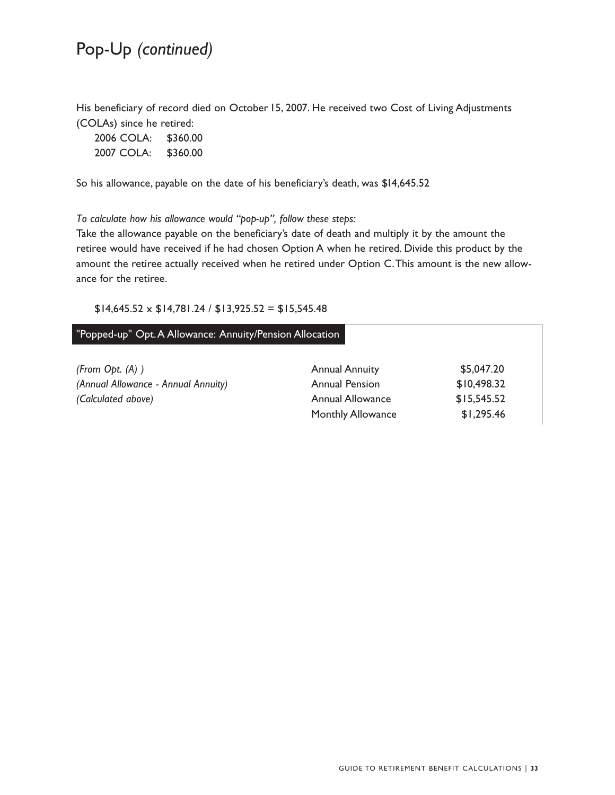### Pop-Up *(continued)*

 (COLAs) since he retired: His beneficiary of record died on October 15, 2007. He received two Cost of Living Adjustments

| 2006 COLA: | \$360.00 |
|------------|----------|
| 2007 COLA: | \$360.00 |

So his allowance, payable on the date of his beneficiary's death, was \$14,645.52

*To calculate how his allowance would "pop-up", follow these steps:* 

 ance for the retiree. Take the allowance payable on the beneficiary's date of death and multiply it by the amount the retiree would have received if he had chosen Option A when he retired. Divide this product by the amount the retiree actually received when he retired under Option C.This amount is the new allow-

#### $$14,645.52 \times $14,781.24 / $13,925.52 = $15,545.48$

#### j  "Popped-up" Opt. A Allowance: Annuity/Pension Allocation

| (From Opt. (A))                     | <b>Annual Annuity</b>    | \$5,047.20  |
|-------------------------------------|--------------------------|-------------|
| (Annual Allowance - Annual Annuity) | <b>Annual Pension</b>    | \$10,498.32 |
| (Calculated above)                  | Annual Allowance         | \$15,545.52 |
|                                     | <b>Monthly Allowance</b> | \$1,295.46  |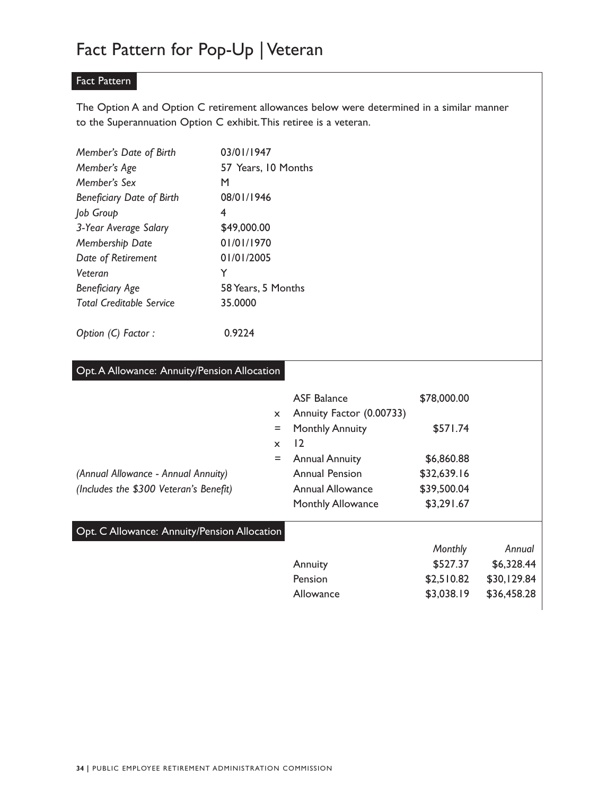#### Fact Pattern

 to the Superannuation Option C exhibit.This retiree is a veteran. The Option A and Option C retirement allowances below were determined in a similar manner

| Member's Date of Birth           | 03/01/1947          |
|----------------------------------|---------------------|
| Member's Age                     | 57 Years, 10 Months |
| Member's Sex                     | м                   |
| <b>Beneficiary Date of Birth</b> | 08/01/1946          |
| Job Group                        | 4                   |
| 3-Year Average Salary            | \$49,000.00         |
| Membership Date                  | 01/01/1970          |
| Date of Retirement               | 01/01/2005          |
| Veteran                          | Y                   |
| <b>Beneficiary Age</b>           | 58 Years, 5 Months  |
| Total Creditable Service         | 35.0000             |
|                                  |                     |

| Option (C) Factor : |  | 0.9224 |
|---------------------|--|--------|
|---------------------|--|--------|

| Opt. A Allowance: Annuity/Pension Allocation |              |                          |             |             |
|----------------------------------------------|--------------|--------------------------|-------------|-------------|
|                                              |              | <b>ASF Balance</b>       | \$78,000.00 |             |
|                                              | $\mathsf{x}$ | Annuity Factor (0.00733) |             |             |
|                                              | Ξ            | <b>Monthly Annuity</b>   | \$571.74    |             |
|                                              | $\mathsf{x}$ | 12                       |             |             |
|                                              | $=$          | <b>Annual Annuity</b>    | \$6,860.88  |             |
| (Annual Allowance - Annual Annuity)          |              | <b>Annual Pension</b>    | \$32,639.16 |             |
| (Includes the \$300 Veteran's Benefit)       |              | <b>Annual Allowance</b>  | \$39,500.04 |             |
|                                              |              | <b>Monthly Allowance</b> | \$3,291.67  |             |
| Opt. C Allowance: Annuity/Pension Allocation |              |                          |             |             |
|                                              |              |                          | Monthly     | Annual      |
|                                              |              | Annuity                  | \$527.37    | \$6,328.44  |
|                                              |              | Pension                  | \$2,510.82  | \$30,129.84 |
|                                              |              | Allowance                | \$3,038.19  | \$36,458.28 |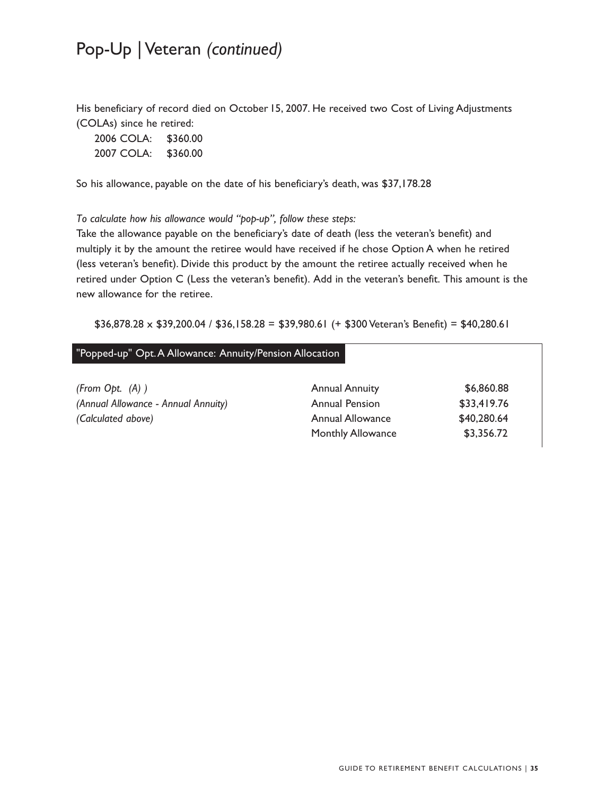### Pop-Up | Veteran *(continued)*

His beneficiary of record died on October 15, 2007. He received two Cost of Living Adjustments (COLAs) since he retired:

| 2006 COLA: | \$360.00 |
|------------|----------|
| 2007 COLA: | \$360.00 |

So his allowance, payable on the date of his beneficiary's death, was \$37,178.28

*To calculate how his allowance would "pop-up", follow these steps:* 

 new allowance for the retiree. Take the allowance payable on the beneficiary's date of death (less the veteran's benefit) and multiply it by the amount the retiree would have received if he chose Option A when he retired (less veteran's benefit). Divide this product by the amount the retiree actually received when he retired under Option C (Less the veteran's benefit). Add in the veteran's benefit. This amount is the

 $$36,878.28 \times $39,200.04 / $36,158.28 = $39,980.61 + $300 \text{ Veteran's Benefit} = $40,280.61$ 

#### "Popped-up" Opt. A Allowance: Annuity/Pension Allocation

l

| (From Opt. (A))                     | <b>Annual Annuity</b>    | \$6,860.88  |
|-------------------------------------|--------------------------|-------------|
| (Annual Allowance - Annual Annuity) | <b>Annual Pension</b>    | \$33.419.76 |
| (Calculated above)                  | Annual Allowance         | \$40,280.64 |
|                                     | <b>Monthly Allowance</b> | \$3.356.72  |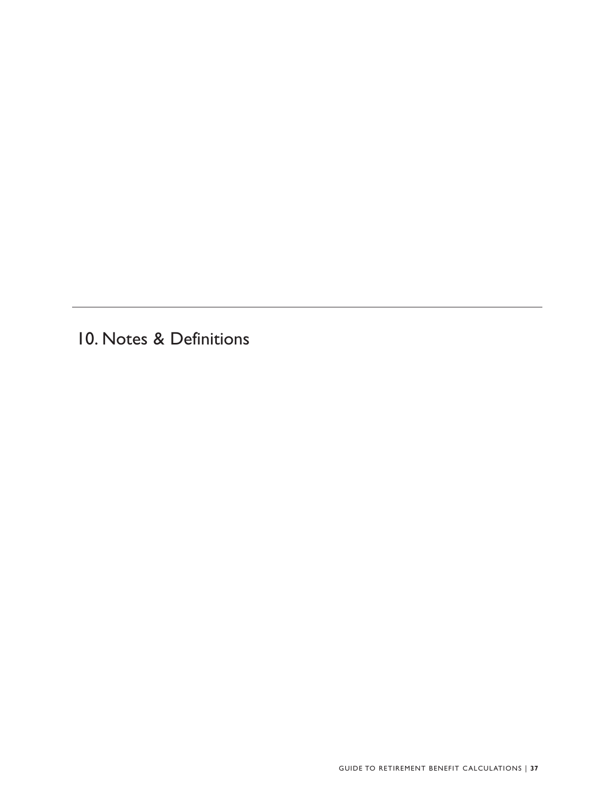10. Notes & Definitions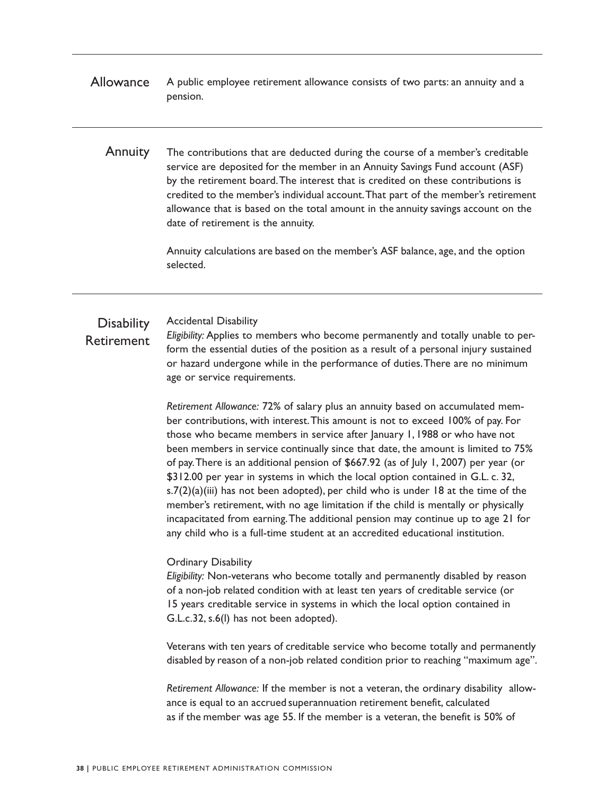- Allowance A public employee retirement allowance consists of two parts: an annuity and a pension.
	- Annuity The contributions that are deducted during the course of a member's creditable service are deposited for the member in an Annuity Savings Fund account (ASF) by the retirement board.The interest that is credited on these contributions is credited to the member's individual account.That part of the member's retirement allowance that is based on the total amount in the annuity savings account on the date of retirement is the annuity.

 Annuity calculations are based on the member's ASF balance, age, and the option selected.

#### **Disability** Accidental Disability

#### Retirement

*Eligibility:* Applies to members who become permanently and totally unable to perform the essential duties of the position as a result of a personal injury sustained or hazard undergone while in the performance of duties.There are no minimum age or service requirements.

 \$312.00 per year in systems in which the local option contained in G.L. c. 32, *Retirement Allowance:* 72% of salary plus an annuity based on accumulated member contributions, with interest.This amount is not to exceed 100% of pay. For those who became members in service after January 1, 1988 or who have not been members in service continually since that date, the amount is limited to 75% of pay.There is an additional pension of \$667.92 (as of July 1, 2007) per year (or s.7(2)(a)(iii) has not been adopted), per child who is under 18 at the time of the member's retirement, with no age limitation if the child is mentally or physically incapacitated from earning.The additional pension may continue up to age 21 for any child who is a full-time student at an accredited educational institution.

#### Ordinary Disability

*Eligibility:* Non-veterans who become totally and permanently disabled by reason of a non-job related condition with at least ten years of creditable service (or 15 years creditable service in systems in which the local option contained in G.L.c.32, s.6(l) has not been adopted).

Veterans with ten years of creditable service who become totally and permanently disabled by reason of a non-job related condition prior to reaching "maximum age".

 ance is equal to an accrued superannuation retirement benefit, calculated *Retirement Allowance:* If the member is not a veteran, the ordinary disability allowas if the member was age 55. If the member is a veteran, the benefit is 50% of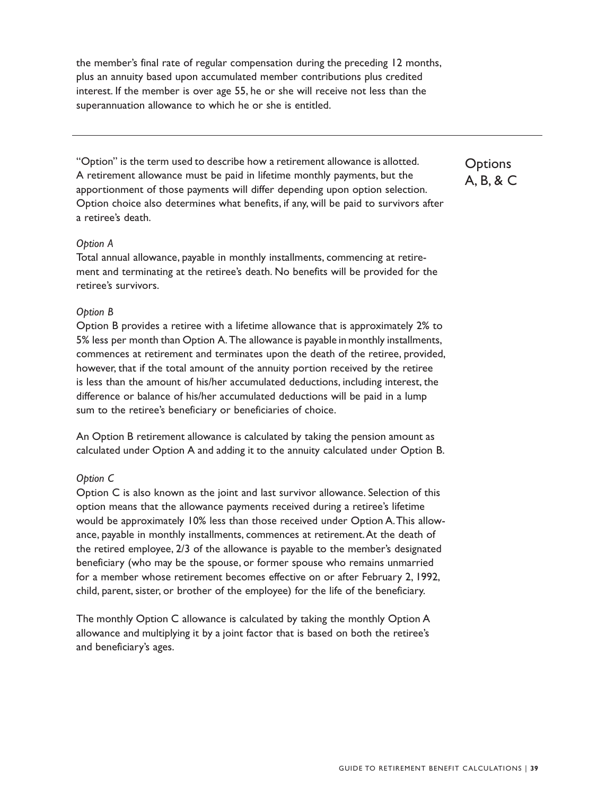the member's final rate of regular compensation during the preceding 12 months, plus an annuity based upon accumulated member contributions plus credited interest. If the member is over age 55, he or she will receive not less than the superannuation allowance to which he or she is entitled.

"Option" is the term used to describe how a retirement allowance is allotted. A retirement allowance must be paid in lifetime monthly payments, but the apportionment of those payments will differ depending upon option selection. Option choice also determines what benefits, if any, will be paid to survivors after a retiree's death.

#### *Option A*

Total annual allowance, payable in monthly installments, commencing at retirement and terminating at the retiree's death. No benefits will be provided for the retiree's survivors.

#### *Option B*

Option B provides a retiree with a lifetime allowance that is approximately 2% to 5% less per month than Option A.The allowance is payable in monthly installments, commences at retirement and terminates upon the death of the retiree, provided, however, that if the total amount of the annuity portion received by the retiree is less than the amount of his/her accumulated deductions, including interest, the difference or balance of his/her accumulated deductions will be paid in a lump sum to the retiree's beneficiary or beneficiaries of choice.

An Option B retirement allowance is calculated by taking the pension amount as calculated under Option A and adding it to the annuity calculated under Option B.

#### *Option C*

Option C is also known as the joint and last survivor allowance. Selection of this option means that the allowance payments received during a retiree's lifetime would be approximately 10% less than those received under Option A.This allowance, payable in monthly installments, commences at retirement.At the death of the retired employee, 2/3 of the allowance is payable to the member's designated beneficiary (who may be the spouse, or former spouse who remains unmarried for a member whose retirement becomes effective on or after February 2, 1992, child, parent, sister, or brother of the employee) for the life of the beneficiary.

The monthly Option C allowance is calculated by taking the monthly Option A allowance and multiplying it by a joint factor that is based on both the retiree's and beneficiary's ages.

**Options** A, B, & C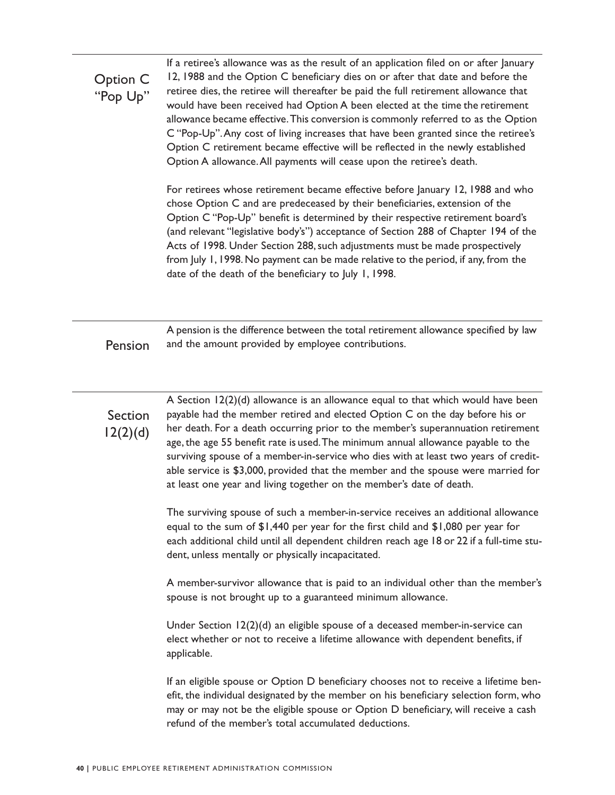Option C "Pop Up" If a retiree's allowance was as the result of an application filed on or after January 12, 1988 and the Option C beneficiary dies on or after that date and before the retiree dies, the retiree will thereafter be paid the full retirement allowance that would have been received had Option A been elected at the time the retirement allowance became effective. This conversion is commonly referred to as the Option C "Pop-Up".Any cost of living increases that have been granted since the retiree's Option C retirement became effective will be reflected in the newly established Option A allowance.All payments will cease upon the retiree's death. For retirees whose retirement became effective before January 12, 1988 and who

 from July 1, 1998. No payment can be made relative to the period, if any, from the chose Option C and are predeceased by their beneficiaries, extension of the Option C "Pop-Up" benefit is determined by their respective retirement board's (and relevant "legislative body's") acceptance of Section 288 of Chapter 194 of the Acts of 1998. Under Section 288, such adjustments must be made prospectively date of the death of the beneficiary to July 1, 1998.

A pension is the difference between the total retirement allowance specified by law Pension and the amount provided by employee contributions.

A Section 12(2)(d) allowance is an allowance equal to that which would have been Section payable had the member retired and elected Option C on the day before his or  $12(2)(d)$  her death. For a death occurring prior to the member's superannuation retirement age, the age 55 benefit rate is used. The minimum annual allowance payable to the surviving spouse of a member-in-service who dies with at least two years of creditable service is \$3,000, provided that the member and the spouse were married for at least one year and living together on the member's date of death.

> The surviving spouse of such a member-in-service receives an additional allowance equal to the sum of \$1,440 per year for the first child and \$1,080 per year for each additional child until all dependent children reach age 18 or 22 if a full-time student, unless mentally or physically incapacitated.

> A member-survivor allowance that is paid to an individual other than the member's spouse is not brought up to a guaranteed minimum allowance.

Under Section 12(2)(d) an eligible spouse of a deceased member-in-service can elect whether or not to receive a lifetime allowance with dependent benefits, if applicable.

If an eligible spouse or Option D beneficiary chooses not to receive a lifetime benefit, the individual designated by the member on his beneficiary selection form, who may or may not be the eligible spouse or Option D beneficiary, will receive a cash refund of the member's total accumulated deductions.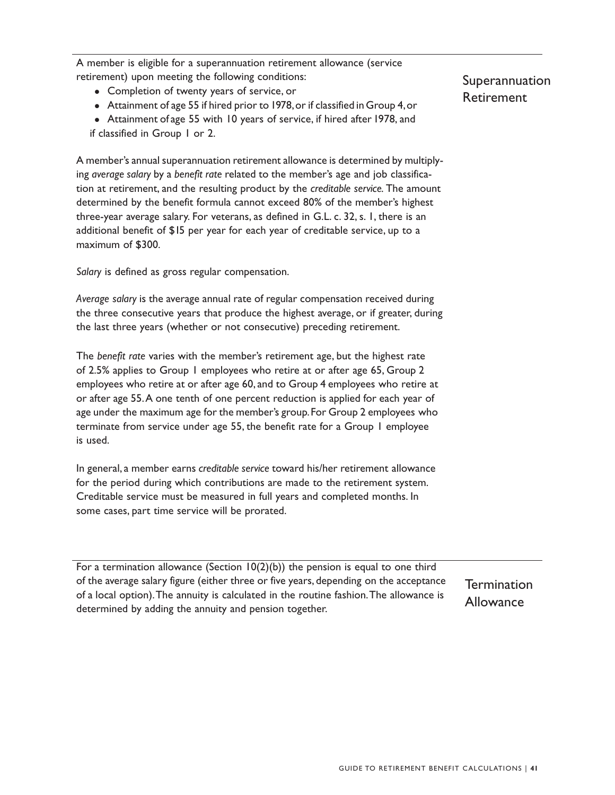A member is eligible for a superannuation retirement allowance (service retirement) upon meeting the following conditions:

- Completion of twenty years of service, or
- Attainment of age 55 if hired prior to 1978, or if classified in Group 4, or

• Attainment of age 55 with 10 years of service, if hired after 1978, and if classified in Group 1 or 2.

A member's annual superannuation retirement allowance is determined by multiplying *average salary* by a *benefit rate* related to the member's age and job classification at retirement, and the resulting product by the *creditable service.* The amount determined by the benefit formula cannot exceed 80% of the member's highest three-year average salary. For veterans, as defined in G.L. c. 32, s. 1, there is an additional benefit of \$15 per year for each year of creditable service, up to a maximum of \$300.

*Salary* is defined as gross regular compensation.

*Average salary* is the average annual rate of regular compensation received during the three consecutive years that produce the highest average, or if greater, during the last three years (whether or not consecutive) preceding retirement.

The *benefit rate* varies with the member's retirement age, but the highest rate of 2.5% applies to Group 1 employees who retire at or after age 65, Group 2 employees who retire at or after age 60, and to Group 4 employees who retire at or after age 55.A one tenth of one percent reduction is applied for each year of age under the maximum age for the member's group. For Group 2 employees who terminate from service under age 55, the benefit rate for a Group 1 employee is used.

In general, a member earns *creditable service* toward his/her retirement allowance for the period during which contributions are made to the retirement system. Creditable service must be measured in full years and completed months. In some cases, part time service will be prorated.

For a termination allowance (Section  $10(2)(b)$ ) the pension is equal to one third of the average salary figure (either three or five years, depending on the acceptance Termination of a local option).The annuity is calculated in the routine fashion.The allowance is Allowance determined by adding the annuity and pension together.

Superannuation Retirement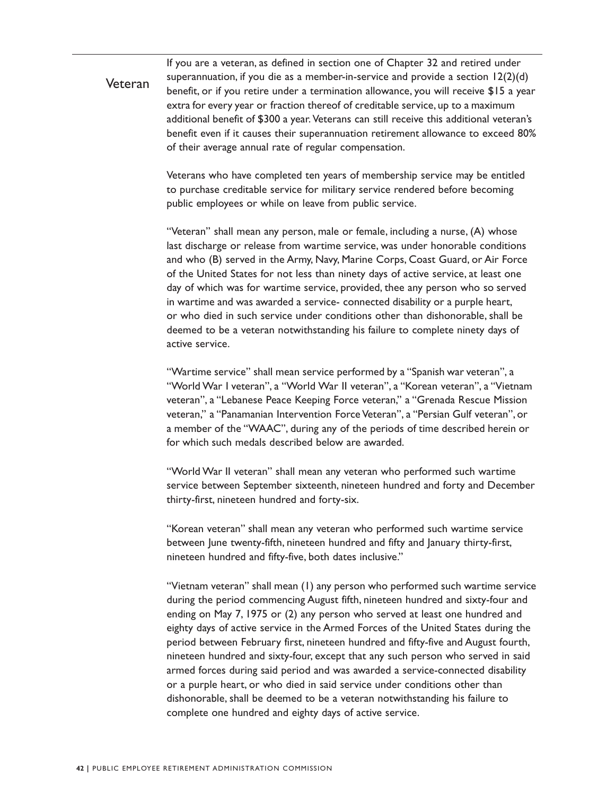**Veteran** If you are a veteran, as defined in section one of Chapter 32 and retired under superannuation, if you die as a member-in-service and provide a section 12(2)(d) benefit, or if you retire under a termination allowance, you will receive \$15 a year extra for every year or fraction thereof of creditable service, up to a maximum additional benefit of \$300 a year. Veterans can still receive this additional veteran's benefit even if it causes their superannuation retirement allowance to exceed 80% of their average annual rate of regular compensation.

> Veterans who have completed ten years of membership service may be entitled to purchase creditable service for military service rendered before becoming public employees or while on leave from public service.

> "Veteran" shall mean any person, male or female, including a nurse, (A) whose last discharge or release from wartime service, was under honorable conditions and who (B) served in the Army, Navy, Marine Corps, Coast Guard, or Air Force of the United States for not less than ninety days of active service, at least one day of which was for wartime service, provided, thee any person who so served in wartime and was awarded a service- connected disability or a purple heart, or who died in such service under conditions other than dishonorable, shall be deemed to be a veteran notwithstanding his failure to complete ninety days of active service.

 "Wartime service" shall mean service performed by a "Spanish war veteran", a "World War I veteran", a "World War II veteran", a "Korean veteran", a "Vietnam veteran", a "Lebanese Peace Keeping Force veteran," a "Grenada Rescue Mission veteran," a "Panamanian Intervention Force Veteran", a "Persian Gulf veteran", or a member of the "WAAC", during any of the periods of time described herein or for which such medals described below are awarded.

"World War II veteran" shall mean any veteran who performed such wartime service between September sixteenth, nineteen hundred and forty and December thirty-first, nineteen hundred and forty-six.

"Korean veteran" shall mean any veteran who performed such wartime service between June twenty-fifth, nineteen hundred and fifty and January thirty-first, nineteen hundred and fifty-five, both dates inclusive."

"Vietnam veteran" shall mean (1) any person who performed such wartime service during the period commencing August fifth, nineteen hundred and sixty-four and ending on May 7, 1975 or (2) any person who served at least one hundred and eighty days of active service in the Armed Forces of the United States during the period between February first, nineteen hundred and fifty-five and August fourth, nineteen hundred and sixty-four, except that any such person who served in said armed forces during said period and was awarded a service-connected disability or a purple heart, or who died in said service under conditions other than dishonorable, shall be deemed to be a veteran notwithstanding his failure to complete one hundred and eighty days of active service.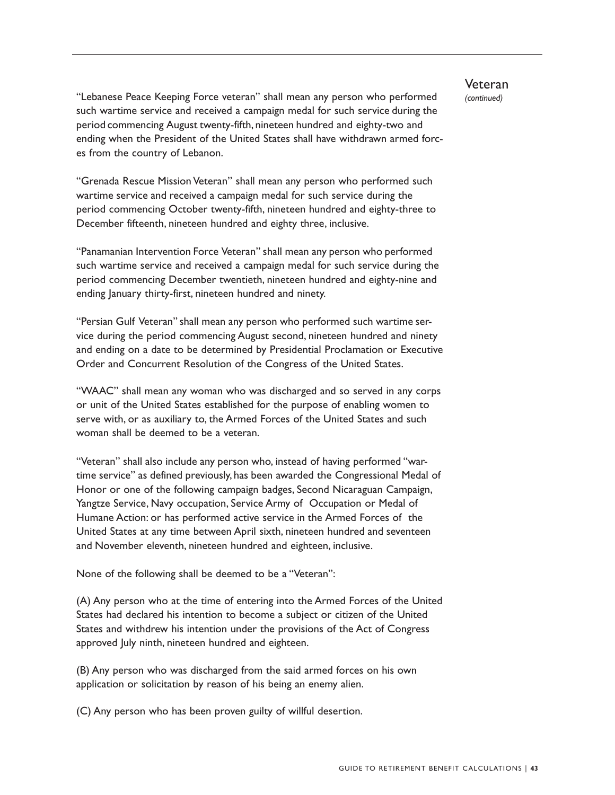"Lebanese Peace Keeping Force veteran" shall mean any person who performed *(continued)*  such wartime service and received a campaign medal for such service during the period commencing August twenty-fifth, nineteen hundred and eighty-two and ending when the President of the United States shall have withdrawn armed forces from the country of Lebanon.

"Grenada Rescue Mission Veteran" shall mean any person who performed such wartime service and received a campaign medal for such service during the period commencing October twenty-fifth, nineteen hundred and eighty-three to December fifteenth, nineteen hundred and eighty three, inclusive.

"Panamanian Intervention Force Veteran" shall mean any person who performed such wartime service and received a campaign medal for such service during the period commencing December twentieth, nineteen hundred and eighty-nine and ending January thirty-first, nineteen hundred and ninety.

 "Persian Gulf Veteran" shall mean any person who performed such wartime service during the period commencing August second, nineteen hundred and ninety and ending on a date to be determined by Presidential Proclamation or Executive Order and Concurrent Resolution of the Congress of the United States.

"WAAC" shall mean any woman who was discharged and so served in any corps or unit of the United States established for the purpose of enabling women to serve with, or as auxiliary to, the Armed Forces of the United States and such woman shall be deemed to be a veteran.

"Veteran" shall also include any person who, instead of having performed "wartime service" as defined previously, has been awarded the Congressional Medal of Honor or one of the following campaign badges, Second Nicaraguan Campaign, Yangtze Service, Navy occupation, Service Army of Occupation or Medal of Humane Action: or has performed active service in the Armed Forces of the United States at any time between April sixth, nineteen hundred and seventeen and November eleventh, nineteen hundred and eighteen, inclusive.

None of the following shall be deemed to be a "Veteran":

(A) Any person who at the time of entering into the Armed Forces of the United States had declared his intention to become a subject or citizen of the United States and withdrew his intention under the provisions of the Act of Congress approved July ninth, nineteen hundred and eighteen.

(B) Any person who was discharged from the said armed forces on his own application or solicitation by reason of his being an enemy alien.

(C) Any person who has been proven guilty of willful desertion.

**Veteran** 

GUIDE TO RETIREMENT BENEFIT CALCULATIONS | **43**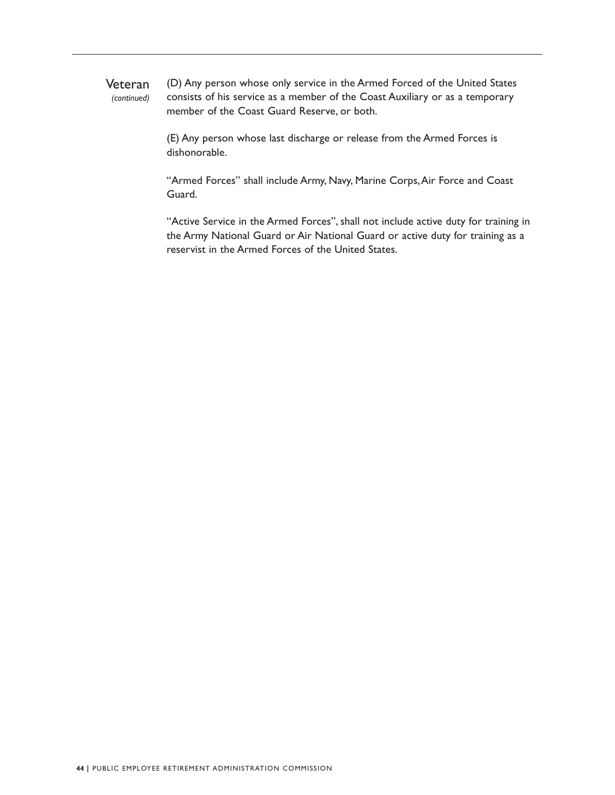Veteran (D) Any person whose only service in the Armed Forced of the United States (continued) consists of his service as a member of the Coast Auxiliary or as a temporary consists of his service as a member of the Coast Auxiliary or as a temporary member of the Coast Guard Reserve, or both.

> (E) Any person whose last discharge or release from the Armed Forces is dishonorable.

"Armed Forces" shall include Army, Navy, Marine Corps,Air Force and Coast Guard.

"Active Service in the Armed Forces", shall not include active duty for training in the Army National Guard or Air National Guard or active duty for training as a reservist in the Armed Forces of the United States.